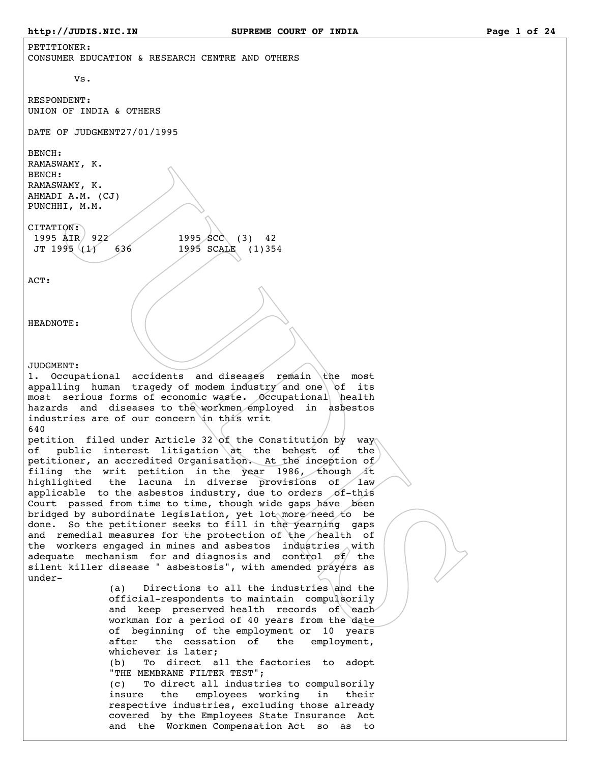PETITIONER: CONSUMER EDUCATION & RESEARCH CENTRE AND OTHERS

Vs.

RESPONDENT: UNION OF INDIA & OTHERS

DATE OF JUDGMENT27/01/1995

BENCH: RAMASWAMY, K. BENCH: RAMASWAMY, K. AHMADI A.M. (CJ) PUNCHHI, M.M. CITATION:  $1995$  AIR)  $922$ 

 $1995 \text{ SCC}$  (3) 42 JT 1995 (1) 636 1995 SCALE (1)354

ACT:

HEADNOTE:

## JUDGMENT:

1. Occupational accidents and diseases remain the most appalling human tragedy of modem industry and one of its most serious forms of economic waste. Occupational health hazards and diseases to the workmen employed in asbestos industries are of our concern in this writ 640

petition filed under Article 32 of the Constitution by way of public interest litigation at the behest of the petitioner, an accredited Organisation. At the inception of filing the writ petition in the year 1986, though it highlighted the lacuna in diverse provisions of law applicable to the asbestos industry, due to orders  $of$ -this Court passed from time to time, though wide gaps have been bridged by subordinate legislation, yet lot more need to be done. So the petitioner seeks to fill in the yearning gaps and remedial measures for the protection of the health of the workers engaged in mines and asbestos industries with adequate mechanism for and diagnosis and control of the silent killer disease " asbestosis", with amended prayers as under-

> (a) Directions to all the industries and the official-respondents to maintain compulsorily and keep preserved health records of each workman for a period of 40 years from the date of beginning of the employment or 10 years after the cessation of the employment, whichever is later;

 (b) To direct all the factories to adopt "THE MEMBRANE FILTER TEST";

 (c) To direct all industries to compulsorily insure the employees working in their respective industries, excluding those already covered by the Employees State Insurance Act and the Workmen Compensation Act so as to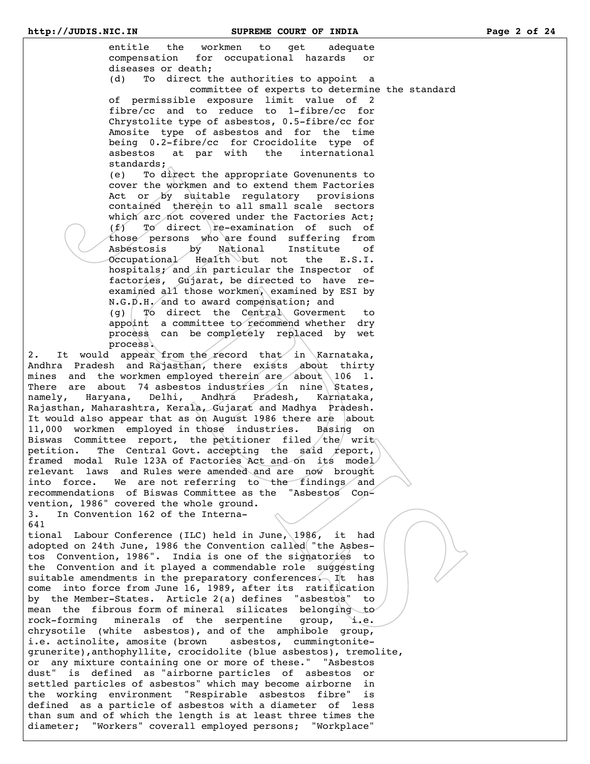641

 entitle the workmen to get adequate compensation for occupational hazards or diseases or death; (d) To direct the authorities to appoint a committee of experts to determine the standard of permissible exposure limit value of 2 fibre/cc and to reduce to 1-fibre/cc for Chrystolite type of asbestos, 0.5-fibre/cc for Amosite type of asbestos and for the time being 0.2-fibre/cc for Crocidolite type of asbestos at par with the international standards; (e) To direct the appropriate Govenunents to cover the workmen and to extend them Factories Act or by suitable regulatory provisions contained therein to all small scale sectors which arc not covered under the Factories Act;  $(f)$  To direct re-examination of such of those persons who are found suffering from **Asbestosis by National Institute of** Occupational Health but not the E.S.I. hospitals; and in particular the Inspector of factories, Gujarat, be directed to have re examined all those workmen, examined by ESI by N.G.D.H. and to award compensation; and  $(g)$  To direct the Central Goverment to appoint a committee to recommend whether dry process can be completely replaced by wet process. 2. It would appear from the record that in Karnataka, Andhra Pradesh and Rajasthan, there exists about thirty mines and the workmen employed therein are about  $106$  1. There are about 74 asbestos industries in nine States, namely, Haryana, Delhi, Andhra Pradesh, Karnataka, Rajasthan, Maharashtra, Kerala, Gujarat and Madhya Pradesh. It would also appear that as on August 1986 there are about 11,000 workmen employed in those industries. Basing on Biswas Committee report, the petitioner filed the writ petition. The Central Govt. accepting the said report, framed modal Rule 123A of Factories Act and on its model relevant laws and Rules were amended and are now brought into force. We are not referring to the findings and recommendations of Biswas Committee as the "Asbestos Convention, 1986" covered the whole ground. 3. In Convention 162 of the International Labour Conference (ILC) held in June, 1986, it had adopted on 24th June, 1986 the Convention called "the Asbestos Convention, 1986". India is one of the signatories to the Convention and it played a commendable role suggesting suitable amendments in the preparatory conferences. It has come into force from June 16, 1989, after its ratification by the Member-States. Article 2(a) defines "asbestos" to mean the fibrous form of mineral silicates belonging to rock-forming minerals of the serpentine group, i.e. chrysotile (white asbestos), and of the amphibole group, i.e. actinolite, amosite (brown asbestos, cummingtonitegrunerite),anthophyllite, crocidolite (blue asbestos), tremolite, or any mixture containing one or more of these." "Asbestos dust" is defined as "airborne particles of asbestos or

settled particles of asbestos" which may become airborne in the working environment "Respirable asbestos fibre" is defined as a particle of asbestos with a diameter of less than sum and of which the length is at least three times the diameter; "Workers" coverall employed persons; "Workplace"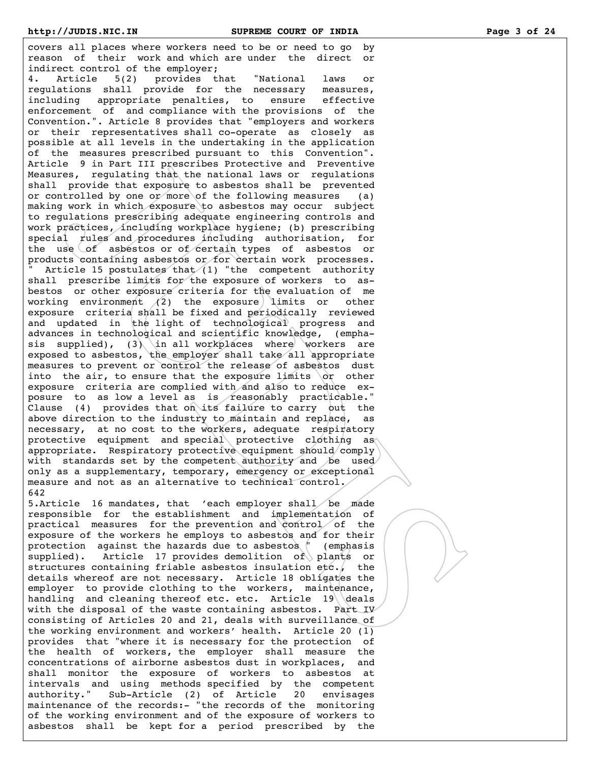covers all places where workers need to be or need to go by reason of their work and which are under the direct or indirect control of the employer;

4. Article 5(2) provides that "National laws or regulations shall provide for the necessary measures, including appropriate penalties, to ensure effective enforcement of and compliance with the provisions of the Convention.". Article 8 provides that "employers and workers or their representatives shall co-operate as closely as possible at all levels in the undertaking in the application of the measures prescribed pursuant to this Convention". Article 9 in Part III prescribes Protective and Preventive Measures, regulating that the national laws or regulations shall provide that exposure to asbestos shall be prevented or controlled by one or more of the following measures (a) making work in which exposure to asbestos may occur subject to regulations prescribing adequate engineering controls and work practices, including workplace hygiene; (b) prescribing special rules and procedures including authorisation, for the use of asbestos or of certain types of asbestos or products containing asbestos or for certain work processes. Article 15 postulates that  $(1)$  "the competent authority shall prescribe limits for the exposure of workers to asbestos or other exposure criteria for the evaluation of me working environment  $(2)$  the exposure limits or other exposure criteria shall be fixed and periodically reviewed and updated in the light of technological progress and advances in technological and scientific knowledge, (emphasis supplied), (3) in all workplaces where workers are exposed to asbestos, the employer shall take all appropriate measures to prevent or control the release of asbestos dust into the air, to ensure that the exposure limits  $\alpha r$  other exposure criteria are complied with and also to reduce exposure to as low a level as is reasonably practicable." Clause (4) provides that on its failure to carry out the above direction to the industry to maintain and replace, as necessary, at no cost to the workers, adequate respiratory protective equipment and special protective clothing as appropriate. Respiratory protective equipment should/comply with standards set by the competent authority and be used only as a supplementary, temporary, emergency or exceptional measure and not as an alternative to technical control. 642

5.Article 16 mandates, that 'each employer shall be made responsible for the establishment and implementation of practical measures for the prevention and control of the exposure of the workers he employs to asbestos and for their protection against the hazards due to asbestos (" (emphasis supplied). Article 17 provides demolition of plants or structures containing friable asbestos insulation etc., the details whereof are not necessary. Article 18 obligates the employer to provide clothing to the workers, maintenance, handling and cleaning thereof etc. etc. Article  $19\$  deals with the disposal of the waste containing asbestos. Part IV consisting of Articles 20 and 21, deals with surveillance of the working environment and workers' health. Article 20  $(1)$ provides that "where it is necessary for the protection of the health of workers, the employer shall measure the concentrations of airborne asbestos dust in workplaces, and shall monitor the exposure of workers to asbestos at intervals and using methods specified by the competent authority." Sub-Article (2) of Article 20 envisages maintenance of the records:- "the records of the monitoring of the working environment and of the exposure of workers to asbestos shall be kept for a period prescribed by the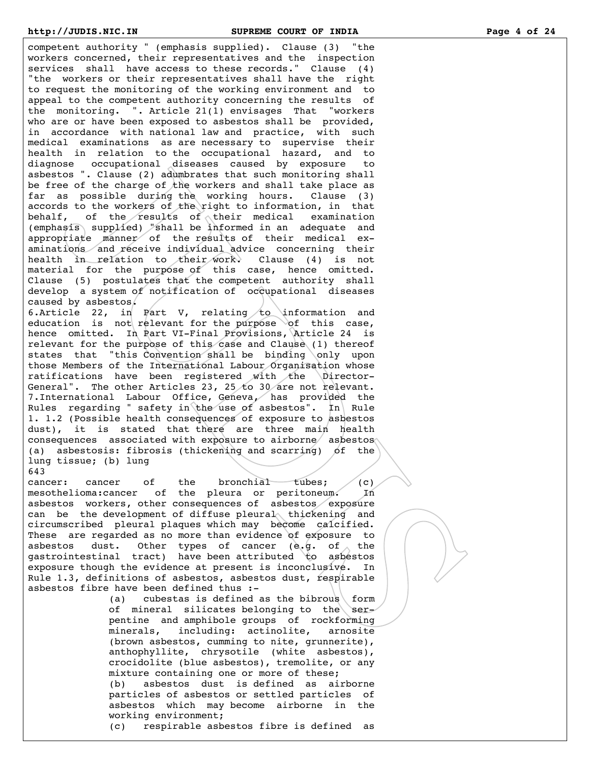competent authority " (emphasis supplied). Clause (3) "the workers concerned, their representatives and the inspection services shall have access to these records." Clause (4) "the workers or their representatives shall have the right to request the monitoring of the working environment and to appeal to the competent authority concerning the results of the monitoring. ". Article 21(1) envisages That "workers who are or have been exposed to asbestos shall be provided, in accordance with national law and practice, with such medical examinations as are necessary to supervise their health in relation to the occupational hazard, and to diagnose occupational diseases caused by exposure to asbestos ". Clause (2) adumbrates that such monitoring shall be free of the charge of the workers and shall take place as far as possible during the working hours. Clause (3) accords to the workers of the right to information, in that behalf, of the results of their medical examination (emphasis supplied) "shall be informed in an adequate and appropriate manner of the results of their medical examinations and receive individual advice concerning their health in relation to their work. Clause (4) is not material for the purpose of this case, hence omitted. Clause (5) postulates that the competent authority shall develop a system of notification of occupational diseases caused by asbestos.

6.Article 22, in Part V, relating to information and education is not relevant for the purpose of this case, hence omitted. In Part VI-Final Provisions, Article 24 is relevant for the purpose of this case and Clause (1) thereof states that "this Convention shall be binding only upon those Members of the International Labour Organisation whose ratifications have been registered with the Director-General". The other Articles 23, 25 to 30 are not relevant. 7.International Labour Office, Geneva, has provided the Rules regarding " safety in the use of asbestos". In Rule 1. 1.2 (Possible health consequences of exposure to asbestos dust), it is stated that there are three main health consequences associated with exposure to airborne asbestos (a) asbestosis: fibrosis (thickening and scarring) of the lung tissue; (b) lung 643

cancer: cancer of the bronchial tubes;  $/(c)$ mesothelioma:cancer of the pleura or peritoneum. In asbestos workers, other consequences of asbestos exposure can be the development of diffuse pleural thickening and circumscribed pleural plaques which may become calcified. These are regarded as no more than evidence of exposure to asbestos dust. Other types of cancer (e.g. of the gastrointestinal tract) have been attributed to asbestos exposure though the evidence at present is inconclusive. In Rule 1.3, definitions of asbestos, asbestos dust, respirable asbestos fibre have been defined thus :-

> (a) cubestas is defined as the bibrous form of mineral silicates belonging to the ser pentine and amphibole groups of rockforming minerals, including: actinolite, arnosite (brown asbestos, cumming to nite, grunnerite), anthophyllite, chrysotile (white asbestos), crocidolite (blue asbestos), tremolite, or any mixture containing one or more of these; (b) asbestos dust is defined as airborne particles of asbestos or settled particles of asbestos which may become airborne in the working environment;

(c) respirable asbestos fibre is defined as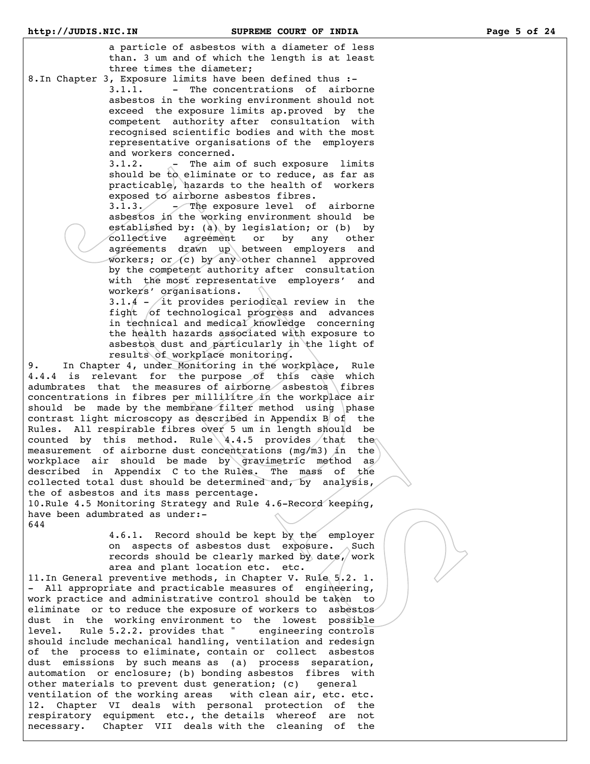a particle of asbestos with a diameter of less than. 3 um and of which the length is at least three times the diameter; 8. In Chapter 3, Exposure limits have been defined thus :- 3.1.1. - The concentrations of airborne asbestos in the working environment should not exceed the exposure limits ap.proved by the competent authority after consultation with recognised scientific bodies and with the most representative organisations of the employers

> and workers concerned.  $3.1.2.$   $\sim$  The aim of such exposure limits should be  $\mathfrak{b}_0$  eliminate or to reduce, as far as practicable, hazards to the health of workers exposed to airborne asbestos fibres.

> $3.1.3.$  - The exposure level of airborne asbestos in the working environment should be established by: (a) by legislation; or (b) by collective agreement or by any other agreements drawn up between employers and workers; or (c) by any other channel approved by the competent authority after consultation with the most representative employers' and workers' organisations.

> $3.1.4$  - it provides periodical review in the fight of technological progress and advances in technical and medical knowledge concerning the health hazards associated with exposure to asbestos dust and particularly in the light of results of workplace monitoring.

9. In Chapter 4, under Monitoring in the workplace, Rule 4.4.4 is relevant for the purpose of this case which adumbrates that the measures of airborne asbestos iibres concentrations in fibres per millilitre in the workplace air should be made by the membrane filter method using phase contrast light microscopy as described in Appendix B of the Rules. All respirable fibres over 5 um in length should be counted by this method. Rule  $4.4.5$  provides that the measurement of airborne dust concentrations (mg/m3) in the workplace air should be made by gravimetric method as described in Appendix C to the Rules. The mass of the collected total dust should be determined and, by analysis, the of asbestos and its mass percentage.

10.Rule 4.5 Monitoring Strategy and Rule 4.6-Record keeping, have been adumbrated as under:- 644

> 4.6.1. Record should be kept by the employer on aspects of asbestos dust exposure.  $\wedge$  Such records should be clearly marked by date, work area and plant location etc. etc.

11.In General preventive methods, in Chapter V. Rule 5.2. 1. - All appropriate and practicable measures of engineering, work practice and administrative control should be taken to eliminate or to reduce the exposure of workers to asbestos dust in the working environment to the lowest possible level. Rule 5.2.2. provides that " engineering controls should include mechanical handling, ventilation and redesign of the process to eliminate, contain or collect asbestos dust emissions by such means as (a) process separation, automation or enclosure; (b) bonding asbestos fibres with other materials to prevent dust generation; (c) general ventilation of the working areas with clean air, etc. etc. 12. Chapter VI deals with personal protection of the respiratory equipment etc., the details whereof are not necessary. Chapter VII deals with the cleaning of the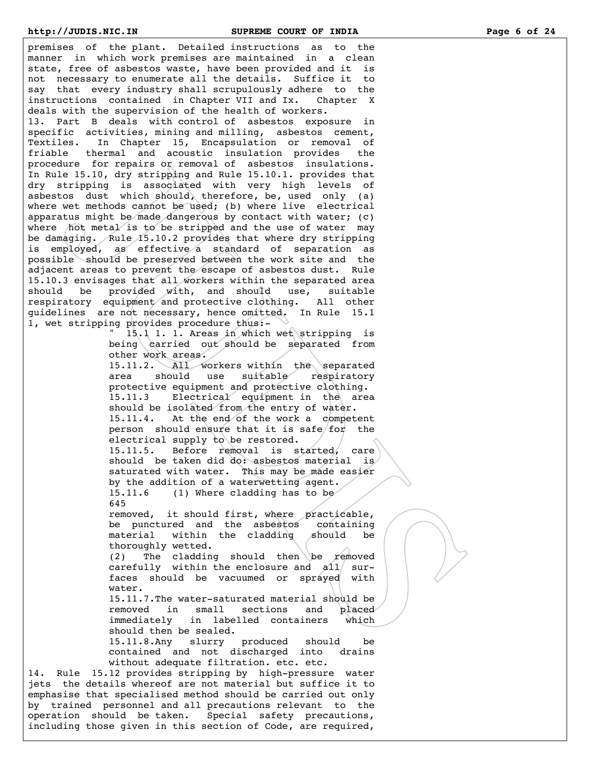premises of the plant. Detailed instructions as to the manner in which work premises are maintained in a clean state, free of asbestos waste, have been provided and it is not necessary to enumerate all the details. Suffice it to say that every industry shall scrupulously adhere to the instructions contained in Chapter VII and Ix. Chapter X deals with the supervision of the health of workers. 13. Part B deals with control of asbestos exposure in specific activities, mining and milling, asbestos cement, Textiles. In Chapter 15, Encapsulation or removal of friable thermal and acoustic insulation provides the procedure for repairs or removal of asbestos insulations. In Rule 15.10, dry stripping and Rule 15.10.1. provides that dry stripping is associated with very high levels of asbestos dust which should, therefore, be, used only (a) where wet methods cannot be used; (b) where live electrical apparatus might be made dangerous by contact with water; (c) where  $\sqrt{n}$ ot metal is to be stripped and the use of water may be damaging. Rule 15.10.2 provides that where dry stripping is employed, as effective a standard of separation as possible should be preserved between the work site and the adjacent areas to prevent the escape of asbestos dust. Rule 15.10.3 envisages that all workers within the separated area should be provided with, and should use, suitable respiratory equipment and protective clothing. All other guidelines are not necessary, hence omitted. In Rule 15.1 1, wet stripping provides procedure thus:- " 15.1 1. 1. Areas in which wet stripping is being carried out should be separated from other work areas. 15.11.2. All workers within the separated area should use suitable respiratory protective equipment and protective clothing. 15.11.3 Electrical equipment in the area should be isolated from the entry of water. 15.11.4. At the end of the work a competent person should ensure that it is safe/for the electrical supply to be restored. 15.11.5. Before removal is started, care should be taken did do: asbestos material is saturated with water. This may be made easier by the addition of a waterwetting agent. 15.11.6 (1) Where cladding has to be 645 removed, it should first, where practicable, be punctured and the asbestos containing material within the cladding should be thoroughly wetted. (2) The cladding should then be removed carefully within the enclosure and  $a11/$  sur faces should be vacuumed or sprayed with water. 15.11.7.The water-saturated material should be removed in small sections and placed immediately in labelled containers which should then be sealed. 15.11.8.Any slurry produced should be contained and not discharged into drains without adequate filtration. etc. etc. 14. Rule 15.12 provides stripping by high-pressure water jets the details whereof are not material but suffice it to emphasise that specialised method should be carried out only by trained personnel and all precautions relevant to the operation should be taken. Special safety precautions, including those given in this section of Code, are required,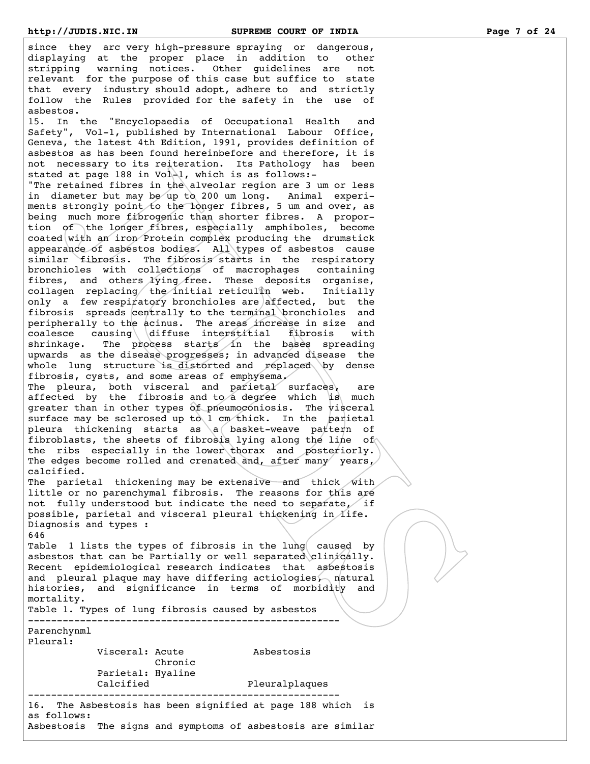**http://JUDIS.NIC.IN SUPREME COURT OF INDIA Page 7 of 24**  since they arc very high-pressure spraying or dangerous, displaying at the proper place in addition to other stripping warning notices. Other guidelines are not relevant for the purpose of this case but suffice to state that every industry should adopt, adhere to and strictly follow the Rules provided for the safety in the use of asbestos. 15. In the "Encyclopaedia of Occupational Health and Safety", Vol-1, published by International Labour Office, Geneva, the latest 4th Edition, 1991, provides definition of asbestos as has been found hereinbefore and therefore, it is not necessary to its reiteration. Its Pathology has been stated at page 188 in Vol $\lambda$ 1, which is as follows:-"The retained fibres in the alveolar region are 3 um or less in diameter but may be up to 200 um long. Animal experiments strongly point to the longer fibres, 5 um and over, as being much more fibrogenic than shorter fibres. A proportion of the longer fibres, especially amphiboles, become coated with an iron Protein complex producing the drumstick appearance of asbestos bodies. All types of asbestos cause similar fibrosis. The fibrosis starts in the respiratory bronchioles with collections of macrophages containing fibres, and others lying free. These deposits organise, collagen replacing/the/initial reticulin web. Initially only a few respi $r$ atory bronchioles are affected, but the fibrosis spreads centrally to the terminal bronchioles and peripherally to the acinus. The areas increase in size and  $coalesce \ causing \ diffuse \ interstitial \ fibrosis \ with$ shrinkage. The process starts in the bases spreading upwards as the disease progresses; in advanced disease the whole lung structure is distorted and replaced by dense fibrosis, cysts, and some areas of emphysema. The pleura, both visceral and parietal surfaces, are affected by the fibrosis and to a degree which is much greater than in other types of pneumoconiosis. The visceral surface may be sclerosed up to 1 cm thick. In the parietal pleura thickening starts as  $a$  basket-weave pattern of fibroblasts, the sheets of fibrosis lying along the line of the ribs especially in the lower thorax and posteriorly. The edges become rolled and crenated and, after many years, calcified. The parietal thickening may be extensive and thick with little or no parenchymal fibrosis. The reasons for this are not fully understood but indicate the need to separate, if possible, parietal and visceral pleural thickening in life. Diagnosis and types : 646 Table 1 lists the types of fibrosis in the lung caused by asbestos that can be Partially or well separated clinically. Recent epidemiological research indicates that asbestosis and pleural plaque may have differing actiologies, natural histories, and significance in terms of morbidity and mortality. Table 1. Types of lung fibrosis caused by asbestos ------------------------------------------------------ Parenchynml Pleural: Visceral: Acute **Asbestosis**  Chronic Parietal: Hyaline Calcified Pleuralplaques ------------------------------------------------------ 16. The Asbestosis has been signified at page 188 which is as follows: Asbestosis The signs and symptoms of asbestosis are similar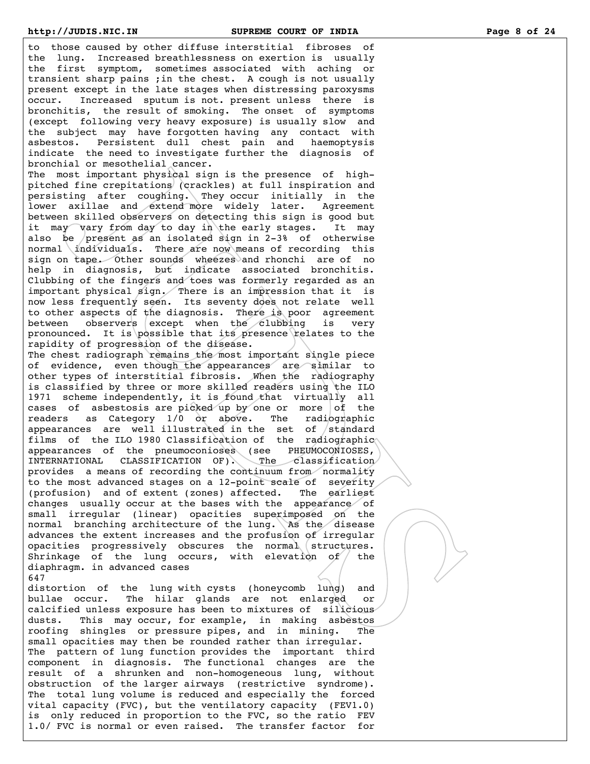to those caused by other diffuse interstitial fibroses of the lung. Increased breathlessness on exertion is usually the first symptom, sometimes associated with aching or transient sharp pains ;in the chest. A cough is not usually present except in the late stages when distressing paroxysms occur. Increased sputum is not. present unless there is bronchitis, the result of smoking. The onset of symptoms (except following very heavy exposure) is usually slow and the subject may have forgotten having any contact with asbestos. Persistent dull chest pain and haemoptysis indicate the need to investigate further the diagnosis of bronchial or mesothelial cancer. The most important physical sign is the presence of highpitched fine crepitations (crackles) at full inspiration and persisting after coughing. They occur initially in the lower axillae and extend more widely later. Agreement between skilled observers on detecting this sign is good but it may vary from day to day in the early stages. It may also be present as an isolated sign in 2-3% of otherwise normal individuals. There are now means of recording this sign on tape. Other sounds wheezes and rhonchi are of no help in diagnosis, but indicate associated bronchitis. Clubbing of the fingers and toes was formerly regarded as an important physical sign. There is an impression that it is now less frequently seen. Its seventy does not relate well to other aspects of the diagnosis. There is poor agreement between observers except when the clubbing is very pronounced. It is possible that its presence relates to the rapidity of progression of the disease. The chest radiograph remains the most important single piece of evidence, even though the appearances are similar to other types of interstitial fibrosis. When the radiography is classified by three or more skilled readers using the ILO 1971 scheme independently, it is found that virtually all cases of asbestosis are picked up by one or more of the readers as Category 1/0 or above. The radiographic appearances are well illustrated in the set of  $/\text{standard}$ films of the ILO 1980 Classification of the radiographic appearances of the pneumoconioses (see PHEUMOCONIOSES, INTERNATIONAL CLASSIFICATION OF). The classification provides a means of recording the continuum from normality to the most advanced stages on a 12-point scale of severity (profusion) and of extent (zones) affected. The earliest changes usually occur at the bases with the appearance of small irregular (linear) opacities superimposed on the normal branching architecture of the lung. As the disease advances the extent increases and the profusion of irregular opacities progressively obscures the normal structures. Shrinkage of the lung occurs, with elevation of the diaphragm. in advanced cases 647 distortion of the lung with cysts (honeycomb lung) and bullae occur. The hilar glands are not enlarged or calcified unless exposure has been to mixtures of silicious dusts. This may occur, for example, in making asbestos roofing shingles or pressure pipes, and in mining. The small opacities may then be rounded rather than irregular. The pattern of lung function provides the important third component in diagnosis. The functional changes are the result of a shrunken and non-homogeneous lung, without obstruction of the larger airways (restrictive syndrome). The total lung volume is reduced and especially the forced vital capacity (FVC), but the ventilatory capacity (FEV1.0) is only reduced in proportion to the FVC, so the ratio FEV 1.0/ FVC is normal or even raised. The transfer factor for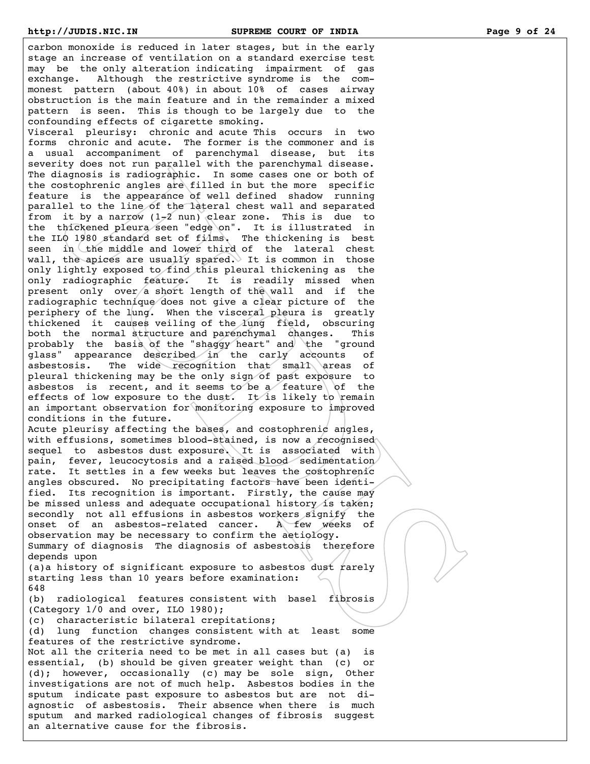carbon monoxide is reduced in later stages, but in the early stage an increase of ventilation on a standard exercise test may be the only alteration indicating impairment of gas exchange. Although the restrictive syndrome is the commonest pattern (about 40%) in about 10% of cases airway obstruction is the main feature and in the remainder a mixed pattern is seen. This is though to be largely due to the confounding effects of cigarette smoking.

Visceral pleurisy: chronic and acute This occurs in two forms chronic and acute. The former is the commoner and is a usual accompaniment of parenchymal disease, but its severity does not run parallel with the parenchymal disease. The diagnosis is radiographic. In some cases one or both of the costophrenic angles are filled in but the more specific feature is the appearance of well defined shadow running parallel to the line of the lateral chest wall and separated from it by a narrow  $(1-2 \text{ nun})$  clear zone. This is due to the thickened pleura seen "edge on". It is illustrated in the ILQ 1980 standard set of films. The thickening is best seen in the middle and lower third of the lateral chest wall, the apices are usually spared. It is common in those only lightly exposed to find this pleural thickening as the only radiographic feature. It is readily missed when present only over a short length of the wall and if the radiographic technique does not give a clear picture of the periphery of the lung. When the visceral pleura is greatly thickened it causes veiling of the lung field, obscuring both the normal structure and parenchymal changes. This probably the basis of the "shaggy heart" and the "ground glass" appearance described in the carly accounts of asbestosis. The wide recognition that small areas of pleural thickening may be the only sign of past exposure to asbestos is recent, and it seems to be a feature of the effects of low exposure to the dust. It is likely to remain an important observation for monitoring exposure to improved conditions in the future.

Acute pleurisy affecting the bases, and costophrenic angles, with effusions, sometimes blood-stained, is now a recognised sequel to asbestos dust exposure. It is associated with pain, fever, leucocytosis and a raised blood sedimentation rate. It settles in a few weeks but leaves the costophrenic angles obscured. No precipitating factors have been identified. Its recognition is important. Firstly, the cause may be missed unless and adequate occupational history is taken; secondly not all effusions in asbestos workers signify the onset of an asbestos-related cancer. A few weeks of observation may be necessary to confirm the aetiology. Summary of diagnosis The diagnosis of asbestosis therefore depends upon

(a)a history of significant exposure to asbestos dust rarely starting less than 10 years before examination: 648

(b) radiological features consistent with basel fibrosis (Category 1/0 and over, ILO 1980);

(c) characteristic bilateral crepitations;

(d) lung function changes consistent with at least some features of the restrictive syndrome.

Not all the criteria need to be met in all cases but (a) is essential, (b) should be given greater weight than (c) or (d); however, occasionally (c) may be sole sign, Other investigations are not of much help. Asbestos bodies in the sputum indicate past exposure to asbestos but are not diagnostic of asbestosis. Their absence when there is much sputum and marked radiological changes of fibrosis suggest an alternative cause for the fibrosis.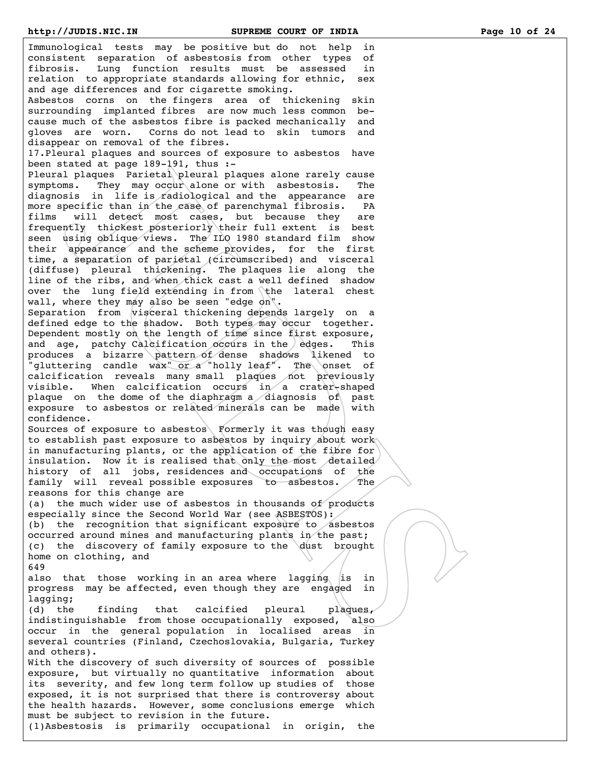| Immunological tests may be positive but do not help<br>in                                                                         |  |
|-----------------------------------------------------------------------------------------------------------------------------------|--|
| consistent separation of asbestosis from other types<br>оf                                                                        |  |
| fibrosis. Lung function results must be assessed<br>in                                                                            |  |
| relation to appropriate standards allowing for ethnic,<br>sex<br>and age differences and for cigarette smoking.                   |  |
| Asbestos corns on the fingers area<br>of thickening<br>skin                                                                       |  |
| surrounding implanted fibres are now much less common<br>be-                                                                      |  |
| cause much of the asbestos fibre is packed mechanically<br>and                                                                    |  |
| gloves are worn. Corns do not lead to skin tumors<br>and                                                                          |  |
| disappear on removal of the fibres.<br>17. Pleural plaques and sources of exposure to asbestos<br>have                            |  |
| been stated at page 189-191, thus :-                                                                                              |  |
| Pleural plaques Parietal pleural plaques alone rarely cause                                                                       |  |
| symptoms. They may occur alone or with asbestosis.<br>The                                                                         |  |
| diagnosis in life is radiological and the appearance<br>are                                                                       |  |
| more specific than in the case of parenchymal fibrosis.<br>PA<br>will detect most cases, but because they<br>films<br>are         |  |
| frequently thickest posteriorly their full extent<br>is<br>best                                                                   |  |
| seen using oblique views. The ILO 1980 standard film<br>show                                                                      |  |
| their appearance and the scheme provides, for the<br>first                                                                        |  |
| time, a separation of parietal (circumscribed) and visceral                                                                       |  |
| (diffuse) pleural thickening. The plaques lie along the<br>line of the ribs, and when thick cast a well defined<br>shadow         |  |
| over the lung field extending in from the lateral chest                                                                           |  |
| wall, where they may also be seen "edge on".                                                                                      |  |
| Separation from visceral thickening depends largely on<br>a a                                                                     |  |
| defined edge to the shadow. Both types may occur together.<br>Dependent mostly on the length of time since first exposure,        |  |
| age, patchy Calcification occurs in the $\ell$ edges.<br>This<br>and                                                              |  |
| produces a bizarre pattern of dense<br>shadows likened<br>to                                                                      |  |
| "gluttering candle wax" or a "holly leaf". The onset<br>оf                                                                        |  |
| reveals many small plaques not previously<br>calcification                                                                        |  |
| visible. When calcification occurs in a crater-shaped<br>plaque on the dome of the diaphragm a diagnosis<br>of past               |  |
| exposure to asbestos or related minerals can be made<br>with                                                                      |  |
| confidence.                                                                                                                       |  |
| Sources of exposure to asbestos Formerly it was though easy                                                                       |  |
| to establish past exposure to asbestos by inquiry about work<br>in manufacturing plants, or the application of the fibre for      |  |
| insulation. Now it is realised that only the most detailed                                                                        |  |
| history of all jobs, residences and occupations<br>the<br>оf                                                                      |  |
| family will reveal possible exposures to asbestos.<br>The                                                                         |  |
| reasons for this change are                                                                                                       |  |
| the much wider use of asbestos in thousands of products<br>(a)<br>especially since the Second World War (see ASBESTOS):           |  |
| (b) the recognition that significant exposure to asbestos                                                                         |  |
| occurred around mines and manufacturing plants in the past;                                                                       |  |
| the discovery of family exposure to the dust<br>brought<br>(c)                                                                    |  |
| home on clothing, and                                                                                                             |  |
| 649<br>also that those working in an area where lagging<br>lis.<br>in                                                             |  |
| progress may be affected, even though they are engaged<br>in                                                                      |  |
| lagging;                                                                                                                          |  |
| that calcified<br>$(d)$ the<br>finding<br>pleural<br>plaques,                                                                     |  |
| indistinguishable from those occupationally exposed, also                                                                         |  |
| in the general population in<br>localised<br>occur<br>areas<br>in<br>several countries (Finland, Czechoslovakia, Bulgaria, Turkey |  |
| and others).                                                                                                                      |  |
| With the discovery of such diversity of sources of possible                                                                       |  |
| exposure, but virtually no quantitative information<br>about                                                                      |  |
| severity, and few long term follow up studies of<br>its<br>those                                                                  |  |
| exposed, it is not surprised that there is controversy about<br>the health hazards. However, some conclusions emerge which        |  |
| must be subject to revision in the future.                                                                                        |  |
| (1)Asbestosis is primarily occupational in origin,<br>the                                                                         |  |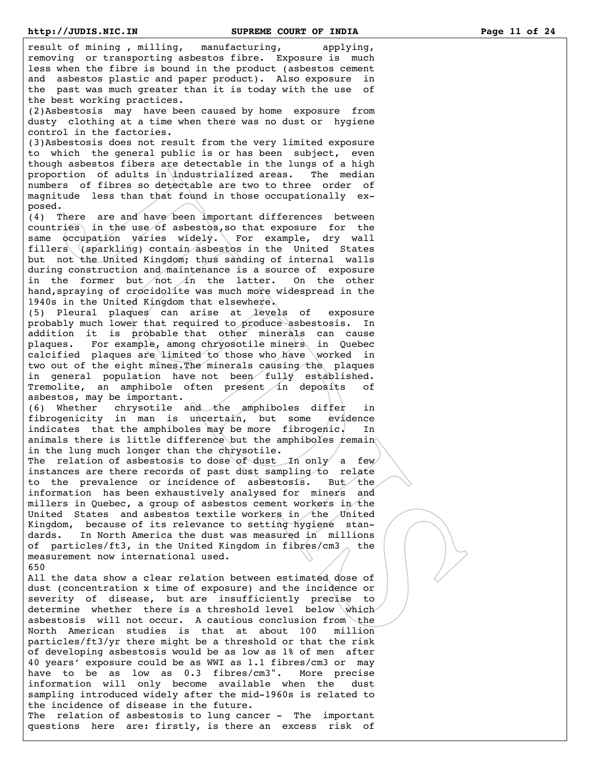**http://JUDIS.NIC.IN SUPREME COURT OF INDIA Page 11 of 24**  result of mining, milling, manufacturing, applying, removing or transporting asbestos fibre. Exposure is much less when the fibre is bound in the product (asbestos cement and asbestos plastic and paper product). Also exposure in the past was much greater than it is today with the use of the best working practices. (2)Asbestosis may have been caused by home exposure from dusty clothing at a time when there was no dust or hygiene control in the factories. (3)Asbestosis does not result from the very limited exposure to which the general public is or has been subject, even though asbestos fibers are detectable in the lungs of a high proportion of adults in industrialized areas. The median numbers of fibres so detectable are two to three order of magnitude less than that found in those occupationally exposed. (4) There are and have been important differences between countries in the use of asbestos,so that exposure for the same  $\alpha$  occupation varies widely. For example, dry wall fillers (sparkling) contain asbestos in the United States but not the United Kingdom; thus sanding of internal walls during construction and maintenance is a source of exposure in the former but not in the latter. On the other hand, spraying of crocidolite was much more widespread in the 1940s in the United Kingdom that elsewhere. (5) Pleural plaques can arise at levels of exposure probably much lower that required to produce asbestosis. In addition it is probable that other minerals can cause plaques. For example, among chryosotile miners in Quebec calcified plaques are limited to those who have worked in two out of the eight mines.The minerals causing the plaques in general population have not been fully established. Tremolite, an amphibole often present in deposits of asbestos, may be important. (6) Whether chrysotile and the amphiboles differ in fibrogenicity in man is uncertain, but some evidence indicates that the amphiboles may be more fibrogenic. In animals there is little difference but the amphiboles remain in the lung much longer than the chrysotile. The relation of asbestosis to dose of dust In only a few instances are there records of past dust sampling to relate to the prevalence or incidence of asbestosis. But the information has been exhaustively analysed for miners and millers in Quebec, a group of asbestos cement workers in the United States and asbestos textile workers in the United Kingdom, because of its relevance to setting hygiene standards. In North America the dust was measured in millions of particles/ft3, in the United Kingdom in fibres/cm3  $\land$  the measurement now international used. 650 All the data show a clear relation between estimated dose of dust (concentration x time of exposure) and the incidence or severity of disease, but are insufficiently precise to determine whether there is a threshold level below which asbestosis will not occur. A cautious conclusion from the North American studies is that at about 100 million particles/ft3/yr there might be a threshold or that the risk of developing asbestosis would be as low as 1% of men after 40 years' exposure could be as WWI as 1.1 fibres/cm3 or may have to be as low as 0.3 fibres/cm3". More precise information will only become available when the dust sampling introduced widely after the mid-1960s is related to the incidence of disease in the future. The relation of asbestosis to lung cancer - The important questions here are: firstly, is there an excess risk of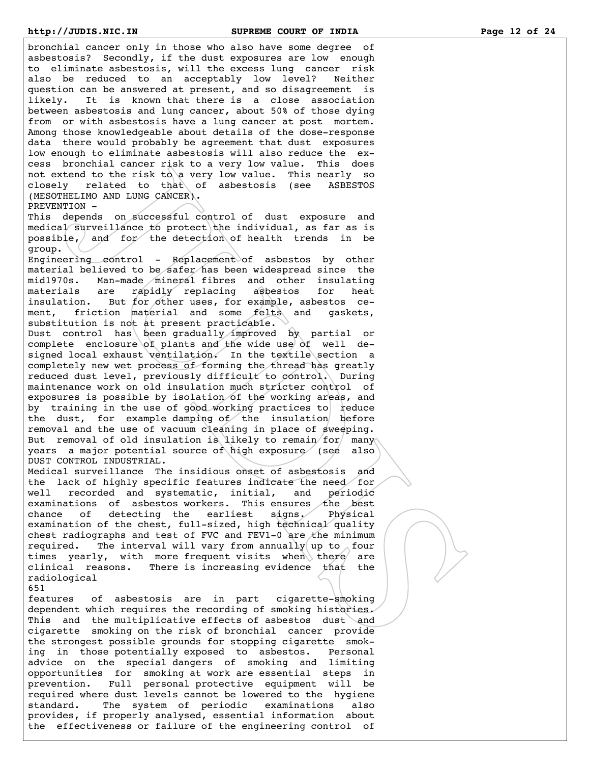bronchial cancer only in those who also have some degree of asbestosis? Secondly, if the dust exposures are low enough to eliminate asbestosis, will the excess lung cancer risk also be reduced to an acceptably low level? Neither question can be answered at present, and so disagreement is likely. It is known that there is a close association between asbestosis and lung cancer, about 50% of those dying from or with asbestosis have a lung cancer at post mortem. Among those knowledgeable about details of the dose-response data there would probably be agreement that dust exposures low enough to eliminate asbestosis will also reduce the excess bronchial cancer risk to a very low value. This does not extend to the risk to a very low value. This nearly so closely related to that of asbestosis (see ASBESTOS (MESOTHELIMO AND LUNG CANCER). PREVENTION -This depends on successful control of dust exposure and medical surveillance to protect the individual, as far as is possible, and for the detection of health trends in be group. Engineering control - Replacement of asbestos by other material believed to be safer has been widespread since the mid1970s. Man-made mineral fibres and other insulating materials are rapidly replacing asbestos for heat insulation. But for other uses, for example, asbestos cement, friction material and some felts and gaskets, substitution is not at present practicable. Dust control has been gradually improved by partial or complete enclosure of plants and the wide use of well designed local exhaust ventilation. In the textile section a completely new wet process of forming the thread has greatly reduced dust level, previously difficult to control. During maintenance work on old insulation much stricter control of exposures is possible by isolation of the working areas, and by training in the use of good working practices to reduce the dust, for example damping of the insulation before removal and the use of vacuum cleaning in place of sweeping. But removal of old insulation is likely to remain for many years a major potential source of high exposure (see also DUST CONTROL INDUSTRIAL. Medical surveillance The insidious onset of asbestosis and the lack of highly specific features indicate the need for well recorded and systematic, initial, and periodic examinations of asbestos workers. This ensures the best chance of detecting the earliest signs. Physical examination of the chest, full-sized, high technical quality chest radiographs and test of FVC and FEV1-0 are the minimum required. The interval will vary from annually up to four times yearly, with more frequent visits when there are clinical reasons. There is increasing evidence that the radiological 651 features of asbestosis are in part cigarette-smoking dependent which requires the recording of smoking histories. This and the multiplicative effects of asbestos dust and cigarette smoking on the risk of bronchial cancer provide the strongest possible grounds for stopping cigarette smoking in those potentially exposed to asbestos. Personal advice on the special dangers of smoking and limiting opportunities for smoking at work are essential steps in prevention. Full personal protective equipment will be required where dust levels cannot be lowered to the hygiene standard. The system of periodic examinations also provides, if properly analysed, essential information about the effectiveness or failure of the engineering control of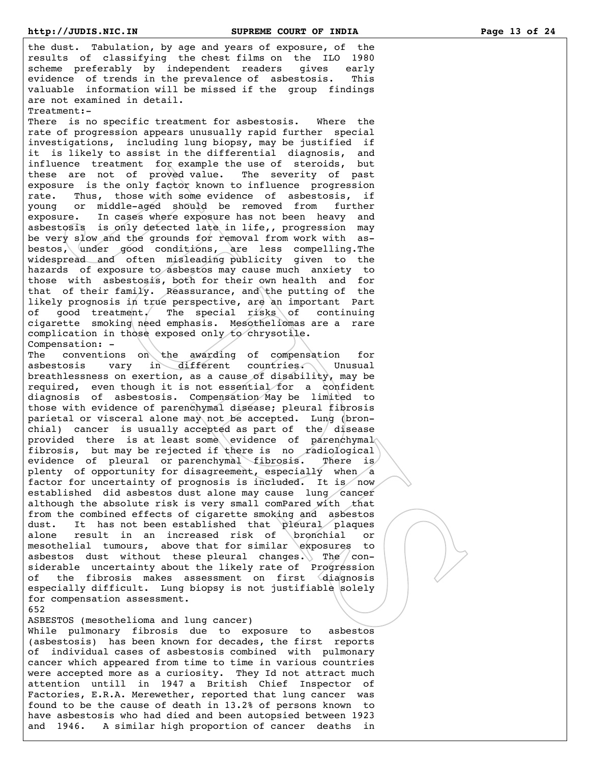the dust. Tabulation, by age and years of exposure, of the results of classifying the chest films on the ILO 1980 scheme preferably by independent readers gives early evidence of trends in the prevalence of asbestosis. This valuable information will be missed if the group findings are not examined in detail.

Treatment:-

There is no specific treatment for asbestosis. Where the rate of progression appears unusually rapid further special investigations, including lung biopsy, may be justified if it is likely to assist in the differential diagnosis, and influence treatment for example the use of steroids, but these are not of proved value. The severity of past exposure is the only factor known to influence progression rate. Thus, those with some evidence of asbestosis, if young or middle-aged should be removed from further exposure. In cases where exposure has not been heavy and asbestosis is only detected late in life,, progression may be very slow and the grounds for removal from work with asbestos, under good conditions, are less compelling.The widespread and often misleading publicity given to the hazards of exposure to asbestos may cause much anxiety to those with asbestosis, both for their own health and for that of their family. Reassurance, and the putting of the likely prognosis in true perspective, are an important Part of good treatment. The special risks of continuing cigarette smoking need emphasis. Mesotheliomas are a rare complication in those exposed only to chrysotile. Compensation: -

The conventions on the awarding of compensation for asbestosis vary in different countries. Inusual breathlessness on exertion, as a cause of disability, may be required, even though it is not essential for a confident diagnosis of asbestosis. Compensation May be limited to those with evidence of parenchymal disease; pleural fibrosis parietal or visceral alone may not be accepted. Lung (bronchial) cancer is usually accepted as part of the disease provided there is at least some evidence of parenchymal fibrosis, but may be rejected if there is no radiological evidence of pleural or parenchymal fibrosis. There is plenty of opportunity for disagreement, especially when  $/a$ factor for uncertainty of prognosis is included. It is  $/$  now established did asbestos dust alone may cause lung  $\sqrt{\text{cancer}}$ although the absolute risk is very small comPared with that from the combined effects of cigarette smoking and asbestos dust. It has not been established that pleural plaques alone result in an increased risk of bronchial or mesothelial tumours, above that for similar exposures to asbestos dust without these pleural changes. The considerable uncertainty about the likely rate of Progression of the fibrosis makes assessment on first diagnosis especially difficult. Lung biopsy is not justifiable solely for compensation assessment. 652

## ASBESTOS (mesothelioma and lung cancer)

While pulmonary fibrosis due to exposure to asbestos (asbestosis) has been known for decades, the first reports of individual cases of asbestosis combined with pulmonary cancer which appeared from time to time in various countries were accepted more as a curiosity. They Id not attract much attention untill in 1947 a British Chief Inspector of Factories, E.R.A. Merewether, reported that lung cancer was found to be the cause of death in 13.2% of persons known to have asbestosis who had died and been autopsied between 1923 and 1946. A similar high proportion of cancer deaths in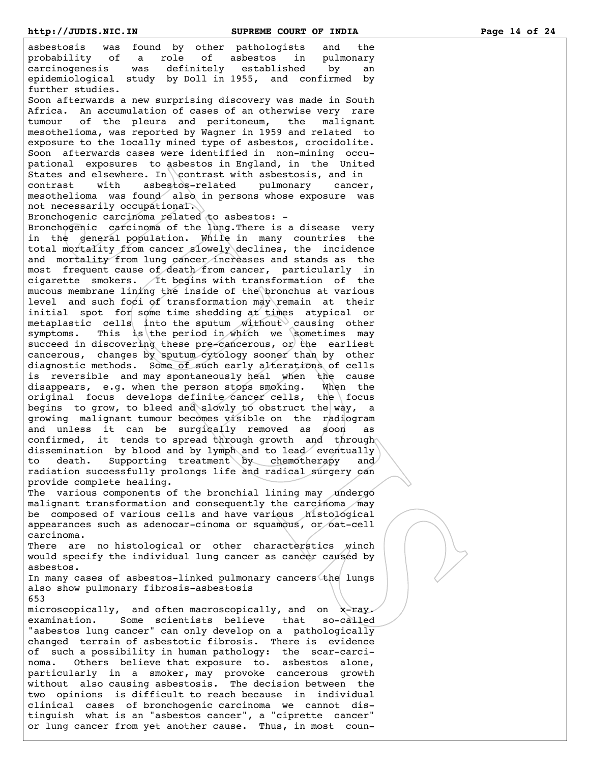| http://JUDIS.NIC.IN                                                                                                                                                                                                                                                                                                                                                                                                                                                                                                                                                                                                                                                                                    | SUPREME COURT OF INDIA                                                                | Page 14 of 24 |
|--------------------------------------------------------------------------------------------------------------------------------------------------------------------------------------------------------------------------------------------------------------------------------------------------------------------------------------------------------------------------------------------------------------------------------------------------------------------------------------------------------------------------------------------------------------------------------------------------------------------------------------------------------------------------------------------------------|---------------------------------------------------------------------------------------|---------------|
| found by other pathologists<br>asbestosis<br>was<br>probability of a<br>role<br>of<br>carcinogenesis<br>was<br>epidemiological study by Doll in 1955, and confirmed<br>further studies.<br>Soon afterwards a new surprising discovery was made in South                                                                                                                                                                                                                                                                                                                                                                                                                                                | and<br>the<br>asbestos<br>in<br>pulmonary<br>definitely established<br>by<br>an<br>by |               |
| An accumulation of cases of an otherwise very rare<br>Africa.<br>of the pleura and peritoneum, the<br>tumour<br>mesothelioma, was reported by Wagner in 1959 and related to<br>exposure to the locally mined type of asbestos, crocidolite.<br>Soon afterwards cases were identified in non-mining occu-<br>pational exposures to asbestos in England, in the United                                                                                                                                                                                                                                                                                                                                   | malignant                                                                             |               |
| States and elsewhere. In contrast with asbestosis, and in<br>with<br>contrast<br>mesothelioma was found also in persons whose exposure was<br>not necessarily occupational.                                                                                                                                                                                                                                                                                                                                                                                                                                                                                                                            | asbestos-related pulmonary<br>cancer,                                                 |               |
| Bronchogenic carcinoma related to asbestos: -<br>Bronchogenic carcinoma of the lung. There is a disease very<br>in the general population. While in many countries the<br>total mortality from cancer slowely declines, the incidence<br>and mortality from lung cancer increases and stands as the                                                                                                                                                                                                                                                                                                                                                                                                    |                                                                                       |               |
| most frequent cause of death from cancer, particularly in<br>cigarette smokers. <i>It</i> begins with transformation of the<br>mucous membrane lining the inside of the bronchus at various<br>level and such foci of transformation may remain at their<br>initial spot for some time shedding at times atypical or                                                                                                                                                                                                                                                                                                                                                                                   |                                                                                       |               |
| metaplastic cells into the sputum without causing other<br>symptoms.<br>succeed in discovering these pre-cancerous, or the earliest<br>cancerous, changes by sputum cytology sooner than by other                                                                                                                                                                                                                                                                                                                                                                                                                                                                                                      | This is the period in which we sometimes may                                          |               |
| diagnostic methods. Some of such early alterations of cells<br>is reversible and may spontaneously heal when the cause<br>disappears, e.g. when the person stops smoking. When the<br>original focus develops definite cancer cells, the focus<br>begins to grow, to bleed and slowly to obstruct the way, a<br>growing malignant tumour becomes visible on the radiogram<br>and unless it can be surgically removed as<br>confirmed, it tends to spread through growth and through<br>dissemination by blood and by lymph and to lead eventually<br>Supporting treatment by chemotherapy<br>death.<br>to<br>radiation successfully prolongs life and radical surgery can<br>provide complete healing. | soon<br>as<br>and∕                                                                    |               |
| The various components of the bronchial lining may undergo<br>malignant transformation and consequently the carcinoma /may<br>be composed of various cells and have various histological<br>appearances such as adenocar-cinoma or squamous, or oat-cell<br>carcinoma.<br>There are no histological or other characterstics winch<br>would specify the individual lung cancer as cancer caused by                                                                                                                                                                                                                                                                                                      |                                                                                       |               |
| asbestos.<br>In many cases of asbestos-linked pulmonary cancers the lungs<br>also show pulmonary fibrosis-asbestosis<br>653                                                                                                                                                                                                                                                                                                                                                                                                                                                                                                                                                                            |                                                                                       |               |
| microscopically, and often macroscopically, and on x-ray.<br>examination.<br>scientists believe<br>Some<br>"asbestos lung cancer" can only develop on a pathologically<br>changed terrain of asbestotic fibrosis. There is evidence<br>of such a possibility in human pathology: the scar-carci-<br>Others believe that exposure to.<br>noma.<br>particularly in a smoker, may provoke cancerous<br>without also causing asbestosis. The decision between the<br>two opinions is difficult to reach because in individual                                                                                                                                                                              | that<br>so-called<br>asbestos<br>alone,<br>growth                                     |               |
| clinical cases of bronchogenic carcinoma we cannot dis-<br>tinguish what is an "asbestos cancer", a "ciprette cancer"<br>or lung cancer from yet another cause. Thus, in most coun-                                                                                                                                                                                                                                                                                                                                                                                                                                                                                                                    |                                                                                       |               |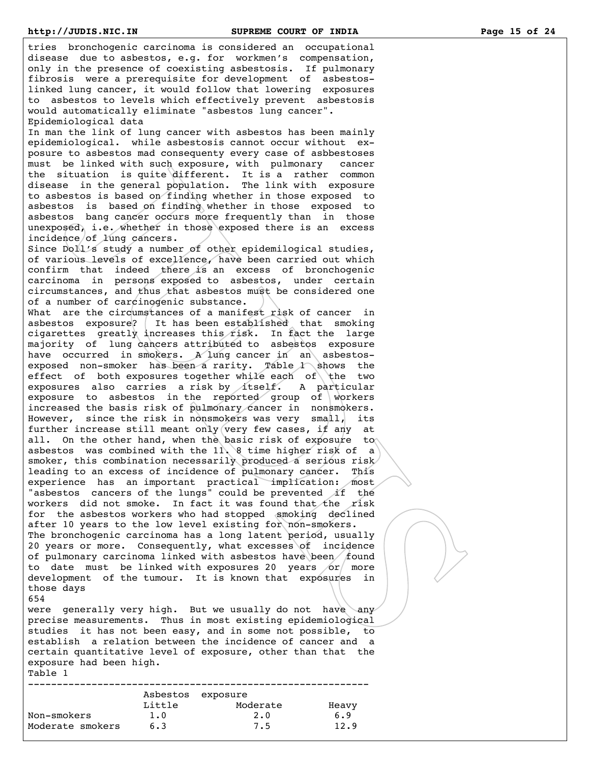| tries bronchogenic carcinoma is considered an occupational<br>disease due to asbestos, e.g. for workmen's<br>only in the presence of coexisting asbestosis.<br>fibrosis were a prerequisite for development of asbestos-<br>linked lung cancer, it would follow that lowering exposures<br>to asbestos to levels which effectively prevent asbestosis<br>would automatically eliminate "asbestos lung cancer".<br>Epidemiological data<br>In man the link of lung cancer with asbestos has been mainly<br>epidemiological. while asbestosis cannot occur without ex-<br>posure to asbestos mad consequenty every case of asbbestoses<br>must be linked with such exposure, with pulmonary cancer<br>the<br>disease<br>to asbestos is based on finding whether in those exposed<br>asbestos is based on finding whether in those exposed to<br>asbestos bang cancer occurs more frequently than in those<br>unexposed, i.e. whether in those exposed there is an excess<br>incidence/of <i>l</i> ung cancers.<br>Since Doll's study a number of other epidemilogical studies,<br>of various levels of excellence, have been carried out which<br>confirm that indeed there is an excess of bronchoqenic<br>carcinoma in persons exposed to asbestos, under certain<br>circumstances, and thus that asbestos must be considered one<br>of a number of carcinogenic substance.<br>What are the circumstances of a manifest risk of cancer<br>asbestos exposure?   It has been established that smoking<br>cigarettes greatly increases this risk. In fact the<br>majority of lung cancers attributed to asbestos exposure<br>have occurred in smokers. A lung cancer in an asbestos-<br>exposed non-smoker has been a rarity. Table 1 shows the<br>effect of both exposures together while each of the two<br>exposures also carries a risk by itself. A particular<br>exposure to asbestos in the reported group of workers |                      | situation is quite different. It is a<br>in the general population. The link with exposure | compensation,<br>If pulmonary<br>rather common<br>to<br>in<br>large |  |
|---------------------------------------------------------------------------------------------------------------------------------------------------------------------------------------------------------------------------------------------------------------------------------------------------------------------------------------------------------------------------------------------------------------------------------------------------------------------------------------------------------------------------------------------------------------------------------------------------------------------------------------------------------------------------------------------------------------------------------------------------------------------------------------------------------------------------------------------------------------------------------------------------------------------------------------------------------------------------------------------------------------------------------------------------------------------------------------------------------------------------------------------------------------------------------------------------------------------------------------------------------------------------------------------------------------------------------------------------------------------------------------------------------------------------------------------------------------------------------------------------------------------------------------------------------------------------------------------------------------------------------------------------------------------------------------------------------------------------------------------------------------------------------------------------------------------------------------------------------------------------------------------------------------------------|----------------------|--------------------------------------------------------------------------------------------|---------------------------------------------------------------------|--|
| increased the basis risk of pulmonary cancer in nonsmokers.<br>However, since the risk in nonsmokers was very small, its<br>further increase still meant only very few cases, if any<br>all. On the other hand, when the basic risk of exposure                                                                                                                                                                                                                                                                                                                                                                                                                                                                                                                                                                                                                                                                                                                                                                                                                                                                                                                                                                                                                                                                                                                                                                                                                                                                                                                                                                                                                                                                                                                                                                                                                                                                           |                      |                                                                                            | at<br>to∧                                                           |  |
| asbestos was combined with the 11 8 time higher risk of<br>smoker, this combination necessarily produced a serious risk<br>leading to an excess of incidence of pulmonary cancer. This<br>experience has an important practical implication: most                                                                                                                                                                                                                                                                                                                                                                                                                                                                                                                                                                                                                                                                                                                                                                                                                                                                                                                                                                                                                                                                                                                                                                                                                                                                                                                                                                                                                                                                                                                                                                                                                                                                         |                      |                                                                                            | а                                                                   |  |
| "asbestos cancers of the lungs" could be prevented if<br>workers did not smoke. In fact it was found that the risk<br>for the asbestos workers who had stopped smoking declined<br>after 10 years to the low level existing for non-smokers.                                                                                                                                                                                                                                                                                                                                                                                                                                                                                                                                                                                                                                                                                                                                                                                                                                                                                                                                                                                                                                                                                                                                                                                                                                                                                                                                                                                                                                                                                                                                                                                                                                                                              |                      |                                                                                            | thé                                                                 |  |
| The bronchogenic carcinoma has a long latent period, usually<br>20 years or more. Consequently, what excesses of incidence<br>of pulmonary carcinoma linked with asbestos have been found<br>date<br>to<br>development of the tumour. It is known that<br>those days                                                                                                                                                                                                                                                                                                                                                                                                                                                                                                                                                                                                                                                                                                                                                                                                                                                                                                                                                                                                                                                                                                                                                                                                                                                                                                                                                                                                                                                                                                                                                                                                                                                      |                      | must be linked with exposures 20 years $\sqrt{or}$                                         | more<br>expósures<br>in                                             |  |
| 654<br>were generally very high. But we usually do not have<br>precise measurements. Thus in most existing epidemiological<br>studies it has not been easy, and in some not possible,<br>establish a relation between the incidence of cancer and<br>certain quantitative level of exposure, other than that<br>exposure had been high.<br>Table 1                                                                                                                                                                                                                                                                                                                                                                                                                                                                                                                                                                                                                                                                                                                                                                                                                                                                                                                                                                                                                                                                                                                                                                                                                                                                                                                                                                                                                                                                                                                                                                        |                      |                                                                                            | $\sqrt{any}$<br>to<br>a<br>the                                      |  |
|                                                                                                                                                                                                                                                                                                                                                                                                                                                                                                                                                                                                                                                                                                                                                                                                                                                                                                                                                                                                                                                                                                                                                                                                                                                                                                                                                                                                                                                                                                                                                                                                                                                                                                                                                                                                                                                                                                                           | Asbestos             | exposure                                                                                   |                                                                     |  |
| Non-smokers<br>Moderate smokers                                                                                                                                                                                                                                                                                                                                                                                                                                                                                                                                                                                                                                                                                                                                                                                                                                                                                                                                                                                                                                                                                                                                                                                                                                                                                                                                                                                                                                                                                                                                                                                                                                                                                                                                                                                                                                                                                           | Little<br>1.0<br>6.3 | Moderate<br>2.0<br>7.5                                                                     | Heavy<br>6.9<br>12.9                                                |  |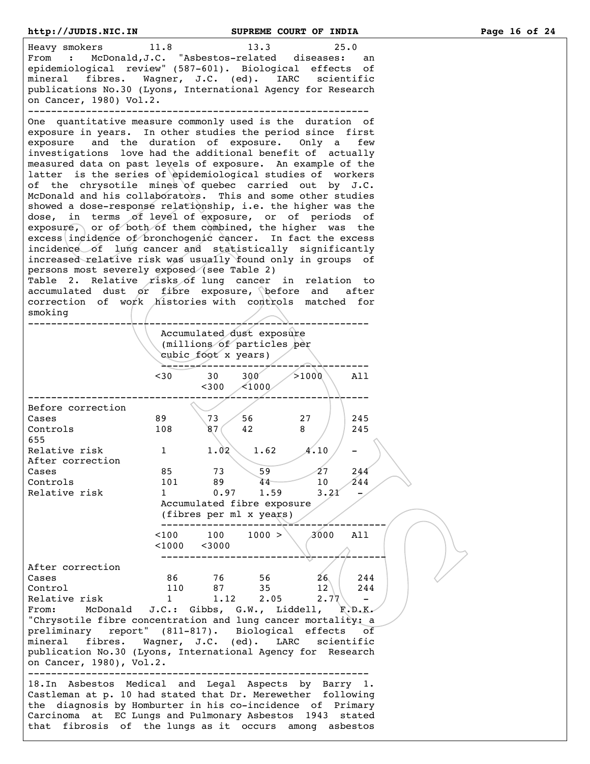| Heavy smokers<br>McDonald, J.C. "Asbestos-related diseases:<br>From<br>$\ddot{\phantom{a}}$<br>epidemiological review" (587-601). Biological effects<br>mineral<br>fibres.<br>publications No.30 (Lyons, International Agency for Research<br>on Cancer, 1980) Vol.2.                                                                                                                                                                                                                                                                                                                                                                                                                                                                                                                                                                                                                                                                                                                                                                            | 11.8          |                     | 13.3<br>Wagner, J.C. (ed). IARC                               | scientific                                                  | 25.0<br>an<br>оf                           |  |
|--------------------------------------------------------------------------------------------------------------------------------------------------------------------------------------------------------------------------------------------------------------------------------------------------------------------------------------------------------------------------------------------------------------------------------------------------------------------------------------------------------------------------------------------------------------------------------------------------------------------------------------------------------------------------------------------------------------------------------------------------------------------------------------------------------------------------------------------------------------------------------------------------------------------------------------------------------------------------------------------------------------------------------------------------|---------------|---------------------|---------------------------------------------------------------|-------------------------------------------------------------|--------------------------------------------|--|
| One quantitative measure commonly used is the duration of<br>exposure in years. In other studies the period since first<br>and the duration of exposure.<br>exposure<br>investigations<br>measured data on past levels of exposure. An example of the<br>latter is the series of epidemiological studies of workers<br>of the chrysotile mines of quebec carried out by J.C.<br>McDonald and his collaborators. This and some other studies<br>showed a dose-response relationship, i.e. the higher was the<br>dose, in terms of level of exposure, or of periods<br>exposure, or of both of them combined, the higher was<br>excess incidence of pronchogenic cancer. In fact the excess<br>incidence of lung cancer and statistically significantly<br>increased relative risk was usually found only in groups of<br>persons most severely exposed (see Table 2)<br>Table 2. Relative risks of lung cancer in relation<br>accumulated dust or fibre exposure, before and<br>correction of work histories with controls matched for<br>smoking |               |                     |                                                               | Only a<br>love had the additional benefit of actually       | few<br>оf<br>the<br>to<br>after            |  |
|                                                                                                                                                                                                                                                                                                                                                                                                                                                                                                                                                                                                                                                                                                                                                                                                                                                                                                                                                                                                                                                  |               | cubic foot x years) | Accumulated dust exposure<br>(millions of particles per       |                                                             |                                            |  |
|                                                                                                                                                                                                                                                                                                                                                                                                                                                                                                                                                                                                                                                                                                                                                                                                                                                                                                                                                                                                                                                  | $30$          | 30<br>< 300         | 300<br>$<$ 1000                                               | >1000                                                       | All                                        |  |
|                                                                                                                                                                                                                                                                                                                                                                                                                                                                                                                                                                                                                                                                                                                                                                                                                                                                                                                                                                                                                                                  |               |                     |                                                               |                                                             |                                            |  |
| Before correction<br>Cases<br>Controls                                                                                                                                                                                                                                                                                                                                                                                                                                                                                                                                                                                                                                                                                                                                                                                                                                                                                                                                                                                                           | 89<br>108     | 73<br>87            | 56<br>42                                                      | 27<br>8                                                     | 245<br>245                                 |  |
| 655<br>Relative risk<br>After correction                                                                                                                                                                                                                                                                                                                                                                                                                                                                                                                                                                                                                                                                                                                                                                                                                                                                                                                                                                                                         | 1             | 1.02                | 1.62                                                          | 4.10                                                        |                                            |  |
| Cases                                                                                                                                                                                                                                                                                                                                                                                                                                                                                                                                                                                                                                                                                                                                                                                                                                                                                                                                                                                                                                            | 85            | 73                  | 59                                                            | 27                                                          | 244                                        |  |
| Controls                                                                                                                                                                                                                                                                                                                                                                                                                                                                                                                                                                                                                                                                                                                                                                                                                                                                                                                                                                                                                                         | 101           | 89                  | 44                                                            | 10                                                          | 244                                        |  |
| Relative risk                                                                                                                                                                                                                                                                                                                                                                                                                                                                                                                                                                                                                                                                                                                                                                                                                                                                                                                                                                                                                                    | $\mathbf{1}$  | 0.97                | 1.59<br>Accumulated fibre exposure<br>(fibres per ml x years) | 3.21                                                        |                                            |  |
|                                                                                                                                                                                                                                                                                                                                                                                                                                                                                                                                                                                                                                                                                                                                                                                                                                                                                                                                                                                                                                                  | 100<br>< 1000 | 100<br>$<$ 3000     | 1000 >                                                        | 3000                                                        | All                                        |  |
| After correction<br>Cases<br>Control                                                                                                                                                                                                                                                                                                                                                                                                                                                                                                                                                                                                                                                                                                                                                                                                                                                                                                                                                                                                             | 86<br>110     | 76<br>87<br>1.12    | 56<br>35                                                      | 26.<br>12                                                   | 244<br>244                                 |  |
| Relative risk<br>McDonald<br>From:<br>"Chrysotile fibre concentration and lung cancer mortality: a<br>preliminary<br>mineral<br>fibres.<br>publication No.30 (Lyons, International Agency for<br>on Cancer, 1980), Vol.2.                                                                                                                                                                                                                                                                                                                                                                                                                                                                                                                                                                                                                                                                                                                                                                                                                        | 1<br>J.C.:    | Wagner, J.C. (ed).  | 2.05<br>Gibbs, G.W., Liddell,<br>LARC                         | 2.77<br>report" (811-817). Biological effects<br>scientific | F.D.K.<br>оf<br>Research                   |  |
| 18.In Asbestos Medical and Legal Aspects by Barry 1.<br>Castleman at p. 10 had stated that Dr. Merewether<br>diagnosis by Homburter in his co-incidence<br>the<br>Carcinoma at EC Lungs and Pulmonary Asbestos<br>fibrosis of<br>that                                                                                                                                                                                                                                                                                                                                                                                                                                                                                                                                                                                                                                                                                                                                                                                                            |               |                     | the lungs as it occurs among                                  | оf<br>1943                                                  | following<br>Primary<br>stated<br>asbestos |  |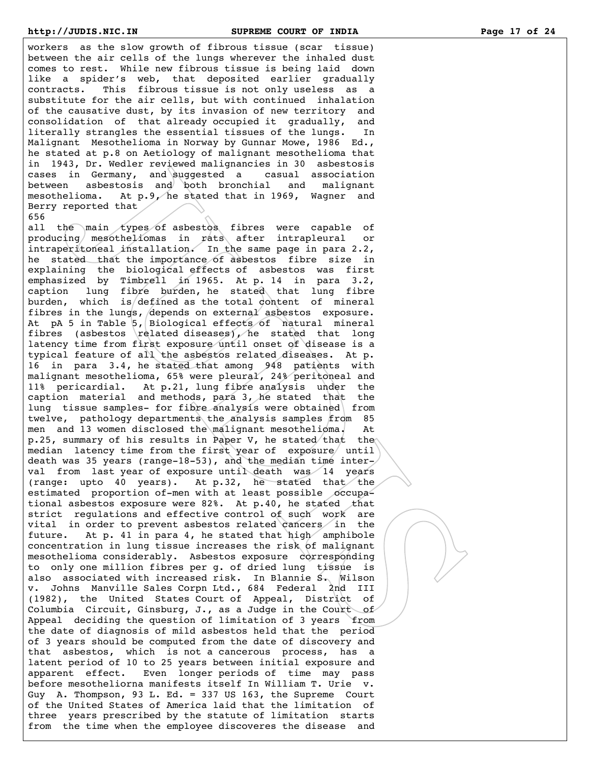workers as the slow growth of fibrous tissue (scar tissue) between the air cells of the lungs wherever the inhaled dust comes to rest. While new fibrous tissue is being laid down like a spider's web, that deposited earlier gradually contracts. This fibrous tissue is not only useless as a substitute for the air cells, but with continued inhalation of the causative dust, by its invasion of new territory and consolidation of that already occupied it gradually, and literally strangles the essential tissues of the lungs. In Malignant Mesothelioma in Norway by Gunnar Mowe, 1986 Ed., he stated at p.8 on Aetiology of malignant mesothelioma that in 1943, Dr. Wedler reviewed malignancies in 30 asbestosis cases in Germany, and suggested a casual association between asbestosis and both bronchial and malignant mesothelioma. At p.9, he stated that in 1969, Wagner and Berry reported that

## 656

all the main types of asbestos fibres were capable of producing/mesotheliomas in rats\ after intrapleural or intraperitoneal installation. In the same page in para 2.2, he stated that the importance of asbestos fibre size in explaining the biological effects of asbestos was first emphasized by Timbrell in 1965. At p. 14 in para 3.2, caption lung fibre burden, he stated that lung fibre burden, which is/defined as the total  $\phi$ ontent of mineral fibres in the lungs, depends on external asbestos exposure. At pA 5 in Table 5, Biological effects of natural mineral fibres (asbestos related diseases), he stated that long latency time from first exposure until onset of disease is a typical feature of all the asbestos related diseases. At p. 16 in para 3.4, he stated that among 948 patients with malignant mesothelioma, 65% were pleural, 24% peritoneal and 11% pericardial. At p.21, lung fibre analysis under the caption material and methods, para 3, he stated that the lung tissue samples- for fibre analysis were obtained from twelve, pathology departments the analysis samples from 85 men and 13 women disclosed the malignant mesothelioma. At p.25, summary of his results in Paper V, he stated that the median latency time from the first year of exposure until death was 35 years (range-18-53), and the median time interval from last year of exposure until death was 14 years (range: upto 40 years). At p.32, he stated that the estimated proportion of-men with at least possible occupational asbestos exposure were 82%. At p.40, he stated that strict regulations and effective control of such work are vital in order to prevent asbestos related cancers in the future. At p. 41 in para 4, he stated that high amphibole concentration in lung tissue increases the risk of malignant mesothelioma considerably. Asbestos exposure corresponding to only one million fibres per g. of dried lung tissue is also associated with increased risk. In Blannie S. Wilson v. Johns Manville Sales Corpn Ltd., 684 Federal 2nd III (1982), the United States Court of Appeal, District of Columbia Circuit, Ginsburg, J., as a Judge in the Court of Appeal deciding the question of limitation of 3 years from the date of diagnosis of mild asbestos held that the period of 3 years should be computed from the date of discovery and that asbestos, which is not a cancerous process, has a latent period of 10 to 25 years between initial exposure and apparent effect. Even longer periods of time may pass before mesotheliorna manifests itself In William T. Urie v. Guy A. Thompson, 93 L. Ed. = 337 US 163, the Supreme Court of the United States of America laid that the limitation of three years prescribed by the statute of limitation starts from the time when the employee discoveres the disease and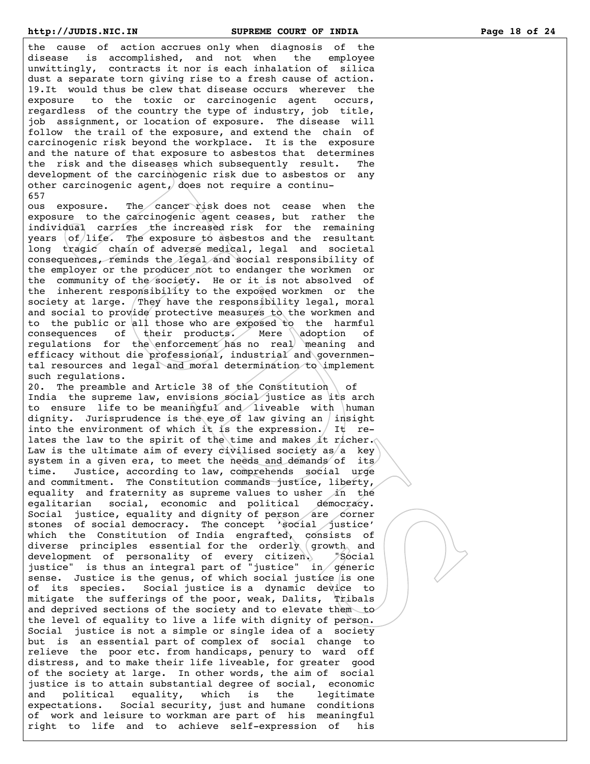the cause of action accrues only when diagnosis of the disease is accomplished, and not when the employee unwittingly, contracts it nor is each inhalation of silica dust a separate torn giving rise to a fresh cause of action. 19.It would thus be clew that disease occurs wherever the exposure to the toxic or carcinogenic agent occurs, regardless of the country the type of industry, job title, job assignment, or location of exposure. The disease will follow the trail of the exposure, and extend the chain of carcinogenic risk beyond the workplace. It is the exposure and the nature of that exposure to asbestos that determines the risk and the diseases which subsequently result. The development of the carcinogenic risk due to asbestos or any other carcinogenic agent, does not require a continu-657

ous exposure. The cancer risk does not cease when the exposure to the carcinogenic agent ceases, but rather the individual carries the increased risk for the remaining years  $of/life$ . The exposure to asbestos and the resultant long tragic chain of adverse medical, legal and societal consequences, reminds the legal and social responsibility of the employer or the producer not to endanger the workmen or the community of the society. He or it is not absolved of the inherent responsibility to the exposed workmen or the society at large. They have the responsibility legal, moral and social to provide protective measures to the workmen and to the public or all those who are exposed to the harmful consequences of their products. Mere adoption of regulations for the enforcement has no real meaning and efficacy without die professional, industrial and governmental resources and legal and moral determination to implement such regulations.

20. The preamble and Article 38 of the Constitution  $\setminus$  of India the supreme law, envisions social justice as its arch to ensure life to be meaningful and liveable with human dignity. Jurisprudence is the eye of law giving an  $/$  insight into the environment of which it is the expression. It relates the law to the spirit of the time and makes it richer. Law is the ultimate aim of every civilised society as a key system in a given era, to meet the needs and demands of its time. Justice, according to law, comprehends social urge and commitment. The Constitution commands justice, liberty, equality and fraternity as supreme values to usher in the egalitarian social, economic and political democracy. Social justice, equality and dignity of person are corner stones of social democracy. The concept 'social justice' which the Constitution of India engrafted, consists of diverse principles essential for the orderly  $g$  growth, and development of personality of every citizen. "Social justice" is thus an integral part of "justice" in generic sense. Justice is the genus, of which social justice is one of its species. Social justice is a dynamic device to mitigate the sufferings of the poor, weak, Dalits, Tribals and deprived sections of the society and to elevate them to the level of equality to live a life with dignity of person. Social justice is not a simple or single idea of a society but is an essential part of complex of social change to relieve the poor etc. from handicaps, penury to ward off distress, and to make their life liveable, for greater good of the society at large. In other words, the aim of social justice is to attain substantial degree of social, economic and political equality, which is the legitimate expectations. Social security, just and humane conditions of work and leisure to workman are part of his meaningful right to life and to achieve self-expression of his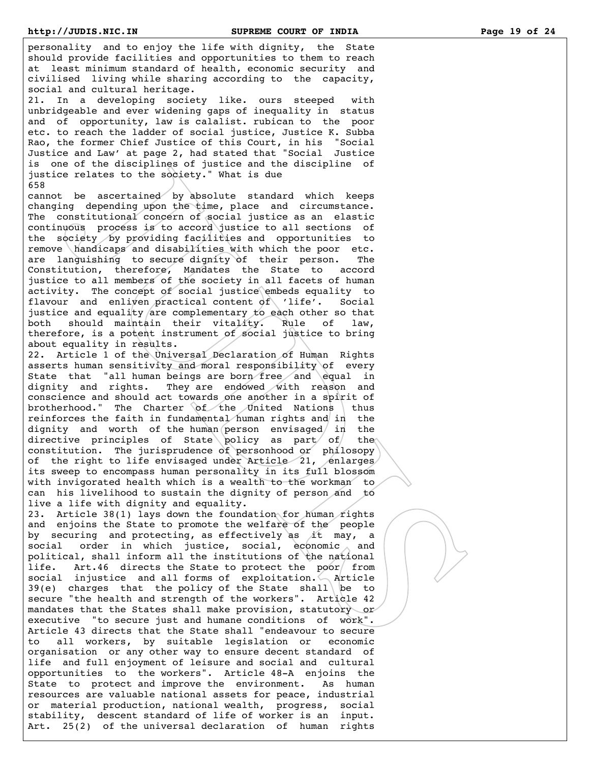personality and to enjoy the life with dignity, the State should provide facilities and opportunities to them to reach at least minimum standard of health, economic security and civilised living while sharing according to the capacity, social and cultural heritage.

21. In a developing society like. ours steeped with unbridgeable and ever widening gaps of inequality in status and of opportunity, law is calalist. rubican to the poor etc. to reach the ladder of social justice, Justice K. Subba Rao, the former Chief Justice of this Court, in his "Social Justice and Law' at page 2, had stated that "Social Justice is one of the disciplines of justice and the discipline of justice relates to the society." What is due 658

cannot be ascertained by absolute standard which keeps changing depending upon the time, place and circumstance. The constitutional concern of social justice as an elastic continuous process is to accord justice to all sections of the society by providing facilities and opportunities to remove handicaps and disabilities with which the poor etc. are languishing to secure dignity of their person. The Constitution, therefore, Mandates the State to accord justice to all members of the society in all facets of human activity. The concept of social justice embeds equality to flavour and enliven practical content of 'life'. Social justice and equality are complementary to each other so that both should maintain their vitality. Rule of law, therefore, is a potent instrument of social justice to bring about equality in results.

22. Article 1 of the Universal Declaration of Human Rights asserts human sensitivity and moral responsibility of every State that "all human beings are born free and equal in dignity and rights. They are endowed with reason and conscience and should act towards one another in a spirit of brotherhood." The Charter of the United Nations thus reinforces the faith in fundamental human rights and in the dignity and worth of the human person envisaged in the directive principles of State policy as part of the constitution. The jurisprudence of personhood or philosopy of the right to life envisaged under Article 21, enlarges its sweep to encompass human personality in its full blossom with invigorated health which is a wealth to the workman to can his livelihood to sustain the dignity of person and to live a life with dignity and equality.

23. Article 38(1) lays down the foundation for human rights and enjoins the State to promote the welfare of the people by securing and protecting, as effectively as it may, a social order in which justice, social, economic and political, shall inform all the institutions of the national life. Art.46 directs the State to protect the poor from social injustice and all forms of exploitation.  $\leftarrow$  Article 39(e) charges that the policy of the State shall be to secure "the health and strength of the workers". Article 42 mandates that the States shall make provision, statutory or executive "to secure just and humane conditions of work". Article 43 directs that the State shall "endeavour to secure to all workers, by suitable legislation or economic organisation or any other way to ensure decent standard of life and full enjoyment of leisure and social and cultural opportunities to the workers". Article 48-A enjoins the State to protect and improve the environment. As human resources are valuable national assets for peace, industrial or material production, national wealth, progress, social stability, descent standard of life of worker is an input. Art. 25(2) of the universal declaration of human rights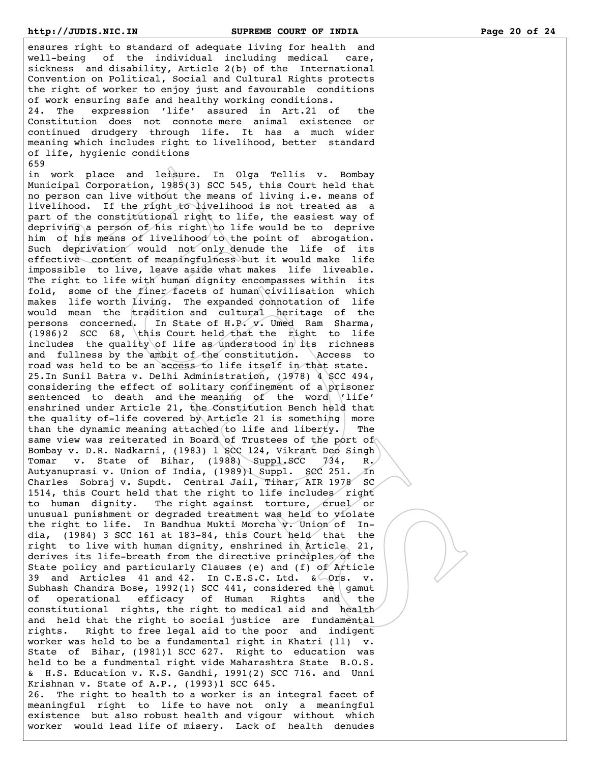ensures right to standard of adequate living for health and well-being of the individual including medical care, sickness and disability, Article 2(b) of the International Convention on Political, Social and Cultural Rights protects the right of worker to enjoy just and favourable conditions of work ensuring safe and healthy working conditions. 24. The expression 'life' assured in Art.21 of the Constitution does not connote mere animal existence or

continued drudgery through life. It has a much wider meaning which includes right to livelihood, better standard of life, hygienic conditions 659

in work place and leisure. In Olga Tellis v. Bombay Municipal Corporation, 1985(3) SCC 545, this Court held that no person can live without the means of living i.e. means of livelihood. If the right to livelihood is not treated as a part of the constitutional right to life, the easiest way of depriving a person of his right to life would be to deprive him of his means of livelihood to the point of abrogation. Such deprivation would not only denude the life of its effective content of meaningfulness but it would make life impossible to live, leave aside what makes life liveable. The right to life with human dignity encompasses within its fold, some of the finer facets of human civilisation which makes life worth living. The expanded connotation of life would mean the tradition and cultural heritage of the persons concerned. In State of H.P. v. Umed Ram Sharma, (1986)2 SCC 68, this Court held that the right to life includes the quality of life as understood in its richness and fullness by the ambit of the constitution. Access to road was held to be an access to life itself in that state. 25.In Sunil Batra v. Delhi Administration, (1978) 4 SCC 494, considering the effect of solitary confinement of a prisoner sentenced to death and the meaning of the word 'life' enshrined under Article 21, the Constitution Bench held that the quality of-life covered by Article 21 is something more than the dynamic meaning attached to life and liberty. The same view was reiterated in Board of Trustees of the port of Bombay v. D.R. Nadkarni, (1983) 1 SCC 124, Vikrant Deo Singh Tomar v. State of Bihar,  $(1988)$  Suppl.SCC 734, R. Autyanuprasi v. Union of India, (1989)1 Suppl. SCC 251. In Charles Sobraj v. Supdt. Central Jail, Tihar, AIR 1978 SC 1514, this Court held that the right to life includes right to human dignity. The right against torture,  $\sqrt{\text{cruel}}$  or unusual punishment or degraded treatment was held to violate the right to life. In Bandhua Mukti Morcha v. Union of India,  $(1984)$  3 SCC 161 at 183-84, this Court held that the right to live with human dignity, enshrined in Article, 21, derives its life-breath from the directive principles of the State policy and particularly Clauses (e) and (f) of Article 39 and Articles 41 and 42. In C.E.S.C. Ltd. & Ors. v. Subhash Chandra Bose, 1992(1) SCC 441, considered the gamut of operational efficacy of Human Rights and the constitutional rights, the right to medical aid and health and held that the right to social justice are fundamental rights. Right to free legal aid to the poor and indigent worker was held to be a fundamental right in Khatri (11) v. State of Bihar, (1981)1 SCC 627. Right to education was held to be a fundmental right vide Maharashtra State B.O.S. & H.S. Education v. K.S. Gandhi, 1991(2) SCC 716. and Unni Krishnan v. State of A.P., (1993)1 SCC 645. 26. The right to health to a worker is an integral facet of meaningful right to life to have not only a meaningful existence but also robust health and vigour without which worker would lead life of misery. Lack of health denudes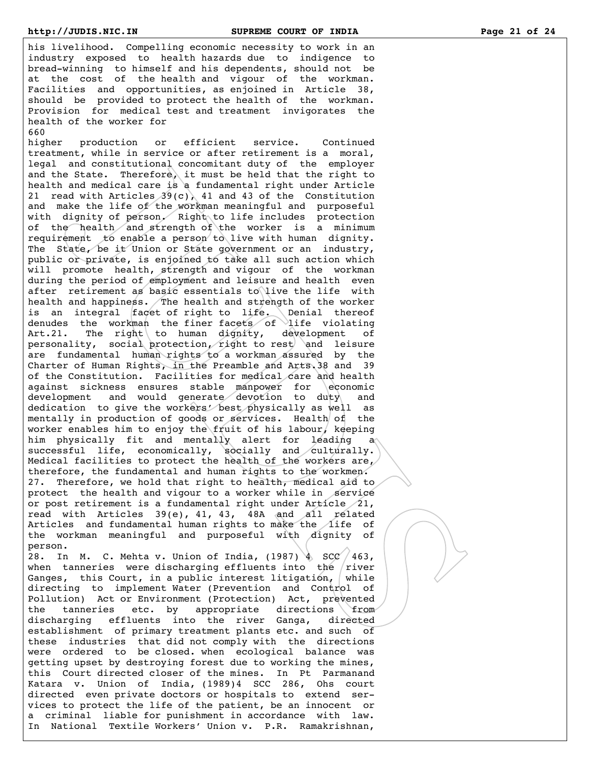his livelihood. Compelling economic necessity to work in an industry exposed to health hazards due to indigence to bread-winning to himself and his dependents, should not be at the cost of the health and vigour of the workman. Facilities and opportunities, as enjoined in Article 38, should be provided to protect the health of the workman. Provision for medical test and treatment invigorates the health of the worker for

660

higher production or efficient service. Continued treatment, while in service or after retirement is a moral, legal and constitutional concomitant duty of the employer and the State. Therefore, it must be held that the right to health and medical care is a fundamental right under Article 21 read with Articles  $39(c)$ , 41 and 43 of the Constitution and make the life of the workman meaningful and purposeful with dignity of person. Right to life includes protection of the health and strength of the worker is a minimum requirement to enable a person to live with human dignity. The State, be it Union or State government or an industry, public or private, is enjoined to take all such action which will promote health, strength and vigour of the workman during the period of employment and leisure and health even after retirement as basic essentials to live the life with health and happiness. The health and strength of the worker is an integral facet of right to life. Denial thereof denudes the workman the finer facets of life violating Art.21. The right to human dignity, development of personality, social protection, right to rest and leisure are fundamental human rights to a workman assured by the Charter of Human Rights, in the Preamble and Arts.38 and 39 of the Constitution. Facilities for medical care and health against sickness ensures stable manpower for \economic development and would generate devotion to duty and dedication to give the workers' best physically as well as mentally in production of goods or services. Health of the worker enables him to enjoy the fruit of his labour, keeping him physically fit and mentally alert for leading a successful life, economically, socially and culturally. Medical facilities to protect the health of the workers are, therefore, the fundamental and human rights to the workmen. 27. Therefore, we hold that right to health, medical aid to protect the health and vigour to a worker while in service or post retirement is a fundamental right under Article  $/21$ , read with Articles 39(e), 41, 43, 48A and all related Articles and fundamental human rights to make the  $\Lambda$ ife of the workman meaningful and purposeful with dignity of person.

28. In M. C. Mehta v. Union of India,  $(1987)$   $4$  SCC  $/$  463, when tanneries were discharging effluents into the river Ganges, this Court, in a public interest litigation,  $\mid$  while directing to implement Water (Prevention and Control of Pollution) Act or Environment (Protection) Act, prevented the tanneries etc. by appropriate directions from discharging effluents into the river Ganga, directed establishment of primary treatment plants etc. and such of these industries that did not comply with the directions were ordered to be closed. when ecological balance was getting upset by destroying forest due to working the mines, this Court directed closer of the mines. In Pt Parmanand Katara v. Union of India, (1989)4 SCC 286, Ohs court directed even private doctors or hospitals to extend services to protect the life of the patient, be an innocent or a criminal liable for punishment in accordance with law. In National Textile Workers' Union v. P.R. Ramakrishnan,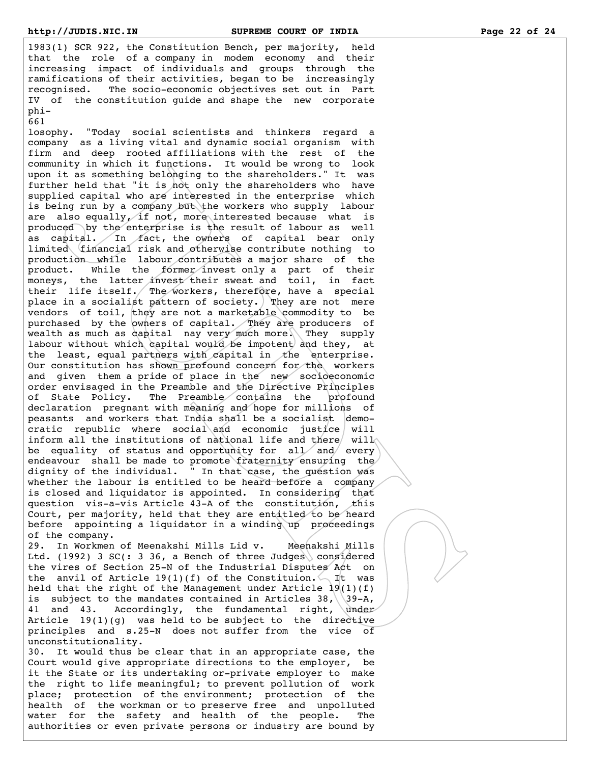661

1983(1) SCR 922, the Constitution Bench, per majority, held that the role of a company in modem economy and their increasing impact of individuals and groups through the ramifications of their activities, began to be increasingly recognised. The socio-economic objectives set out in Part IV of the constitution guide and shape the new corporate phi-

losophy. "Today social scientists and thinkers regard a company as a living vital and dynamic social organism with firm and deep rooted affiliations with the rest of the community in which it functions. It would be wrong to look upon it as something belonging to the shareholders." It was further held that "it is not only the shareholders who have supplied capital who are interested in the enterprise which is being run by a company but the workers who supply labour are also equally, if not, more interested because what is produced by the enterprise is the result of labour as well as capital. In fact, the owners of capital bear only limited financial risk and otherwise contribute nothing to production while labour contributes a major share of the product. While the former⁄invest\_only\_a part of their moneys, the latter invest their sweat and toil, in fact their life itself. The workers, therefore, have a special place in a socialist pattern of society. They are not mere vendors of toil, they are not a marketable commodity to be purchased by the owners of capital. They are producers of wealth as much as capital nay very much more. They supply labour without which capital would be impotent and they, at the least, equal partners with capital in the enterprise. Our constitution has shown profound concern for the workers and given them a pride of place in the new socioeconomic order envisaged in the Preamble and the Directive Principles of State Policy. The Preamble contains the profound declaration pregnant with meaning and hope for millions of peasants and workers that India shall be a socialist democratic republic where social and economic justice will inform all the institutions of national life and there will be equality of status and opportunity for all and every endeavour shall be made to promote fraternity ensuring the dignity of the individual. " In that case, the question was whether the labour is entitled to be heard before a company is closed and liquidator is appointed. In considering that question vis-a-vis Article 43-A of the constitution, this Court, per majority, held that they are entitled to be heard before appointing a liquidator in a winding up proceedings of the company.

29. In Workmen of Meenakshi Mills Lid v. Meenakshi Mills Ltd. (1992) 3 SC(: 3 36, a Bench of three Judges considered the vires of Section 25-N of the Industrial Disputes Act on the anvil of Article 19(1)(f) of the Constituion.  $\leftarrow$  It was held that the right of the Management under Article  $19(1)(f)$ is subject to the mandates contained in Articles 38,  $\sqrt{39-A}$ , 41 and 43. Accordingly, the fundamental right, under Article 19(1)(g) was held to be subject to the directive principles and s.25-N does not suffer from the vice of unconstitutionality.

30. It would thus be clear that in an appropriate case, the Court would give appropriate directions to the employer, be it the State or its undertaking or-private employer to make the right to life meaningful; to prevent pollution of work place; protection of the environment; protection of the health of the workman or to preserve free and unpolluted water for the safety and health of the people. The authorities or even private persons or industry are bound by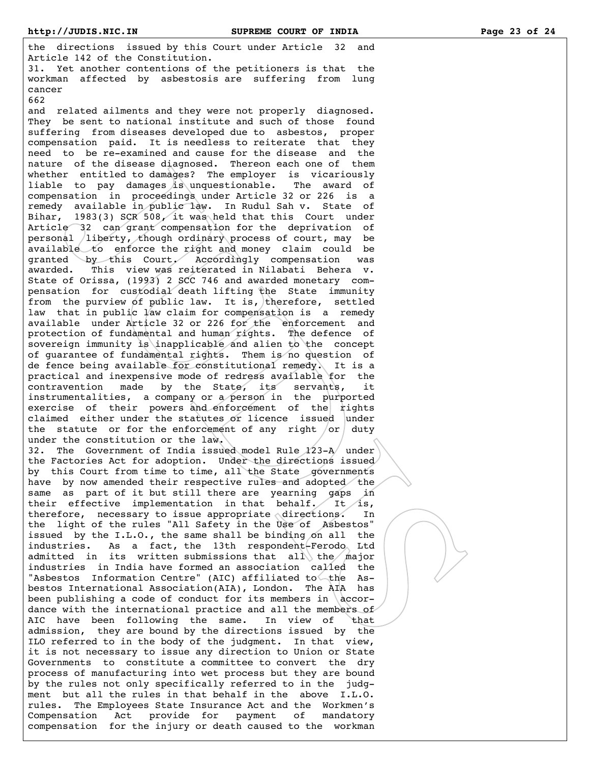the directions issued by this Court under Article 32 and Article 142 of the Constitution.

31. Yet another contentions of the petitioners is that the workman affected by asbestosis are suffering from lung cancer

662

and related ailments and they were not properly diagnosed. They be sent to national institute and such of those found suffering from diseases developed due to asbestos, proper compensation paid. It is needless to reiterate that they need to be re-examined and cause for the disease and the nature of the disease diagnosed. Thereon each one of them whether entitled to damages? The employer is vicariously liable to pay damages is unquestionable. The award of compensation in proceedings under Article 32 or 226 is a remedy available in public law. In Rudul Sah v. State of Bihar, 1983(3) SCR 508, it was held that this Court under Article 32 can grant compensation for the deprivation of personal liberty, though ordinary process of court, may be available to enforce the right and money claim could be granted by this Court. Accordingly compensation was awarded. This view was reiterated in Nilabati Behera v. State of Orissa, (1993) 2 SCC 746 and awarded monetary compensation for custodial death lifting the State immunity from the purview of public law. It is, therefore, settled law that in public law claim for compensation is a remedy available under Article 32 or 226 for the enforcement and protection of fundamental and human rights. The defence of sovereign immunity is inapplicable and alien to the concept of guarantee of fundamental rights. Them is no question of de fence being available for constitutional remedy. It is a practical and inexpensive mode of redress available for the contravention made by the State, its servants, it instrumentalities, a company or a person in the purported exercise of their powers and enforcement of the rights claimed either under the statutes or licence issued under the statute or for the enforcement of any right  $\int$ or duty under the constitution or the law. 32. The Government of India issued model Rule 123-A under

the Factories Act for adoption. Under the directions issued by this Court from time to time, all the State governments have by now amended their respective rules and adopted the same as part of it but still there are yearning gaps in their effective implementation in that behalf. It is, therefore, necessary to issue appropriate directions. In the light of the rules "All Safety in the Use of Asbestos" issued by the I.L.O., the same shall be binding on all the industries. As a fact, the 13th respondent Ferodo Ltd admitted in its written submissions that all the major industries in India have formed an association called the "Asbestos Information Centre" (AIC) affiliated to the Asbestos International Association(AIA), London. The AIA has been publishing a code of conduct for its members in  $\frac{\cdot}{\cdot}$ dance with the international practice and all the members of AIC have been following the same. In view of that admission, they are bound by the directions issued by the ILO referred to in the body of the judgment. In that view, it is not necessary to issue any direction to Union or State Governments to constitute a committee to convert the dry process of manufacturing into wet process but they are bound by the rules not only specifically referred to in the judgment but all the rules in that behalf in the above I.L.O. rules. The Employees State Insurance Act and the Workmen's Compensation Act provide for payment of mandatory compensation for the injury or death caused to the workman